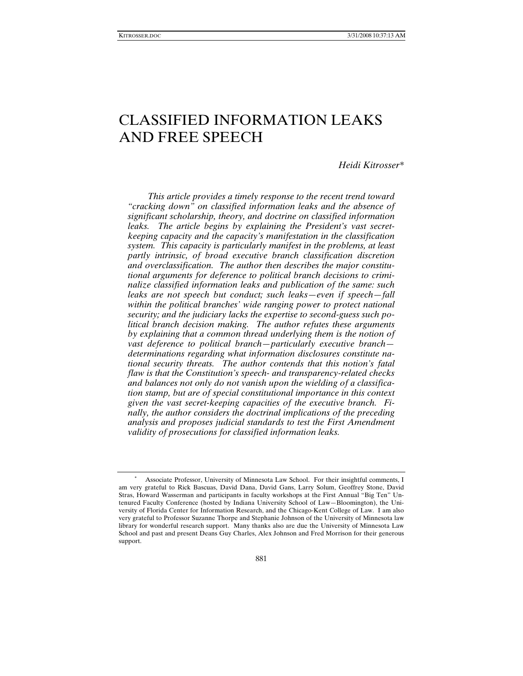# CLASSIFIED INFORMATION LEAKS AND FREE SPEECH

*Heidi Kitrosser\** 

*This article provides a timely response to the recent trend toward "cracking down" on classified information leaks and the absence of significant scholarship, theory, and doctrine on classified information leaks. The article begins by explaining the President's vast secretkeeping capacity and the capacity's manifestation in the classification system. This capacity is particularly manifest in the problems, at least partly intrinsic, of broad executive branch classification discretion and overclassification. The author then describes the major constitutional arguments for deference to political branch decisions to criminalize classified information leaks and publication of the same: such leaks are not speech but conduct; such leaks—even if speech—fall within the political branches' wide ranging power to protect national security; and the judiciary lacks the expertise to second-guess such political branch decision making. The author refutes these arguments by explaining that a common thread underlying them is the notion of vast deference to political branch—particularly executive branch determinations regarding what information disclosures constitute national security threats. The author contends that this notion's fatal flaw is that the Constitution's speech- and transparency-related checks and balances not only do not vanish upon the wielding of a classification stamp, but are of special constitutional importance in this context given the vast secret-keeping capacities of the executive branch. Finally, the author considers the doctrinal implications of the preceding analysis and proposes judicial standards to test the First Amendment validity of prosecutions for classified information leaks.* 

<sup>∗</sup> Associate Professor, University of Minnesota Law School. For their insightful comments, I am very grateful to Rick Bascuas, David Dana, David Gans, Larry Solum, Geoffrey Stone, David Stras, Howard Wasserman and participants in faculty workshops at the First Annual "Big Ten" Untenured Faculty Conference (hosted by Indiana University School of Law—Bloomington), the University of Florida Center for Information Research, and the Chicago-Kent College of Law. I am also very grateful to Professor Suzanne Thorpe and Stephanie Johnson of the University of Minnesota law library for wonderful research support. Many thanks also are due the University of Minnesota Law School and past and present Deans Guy Charles, Alex Johnson and Fred Morrison for their generous support.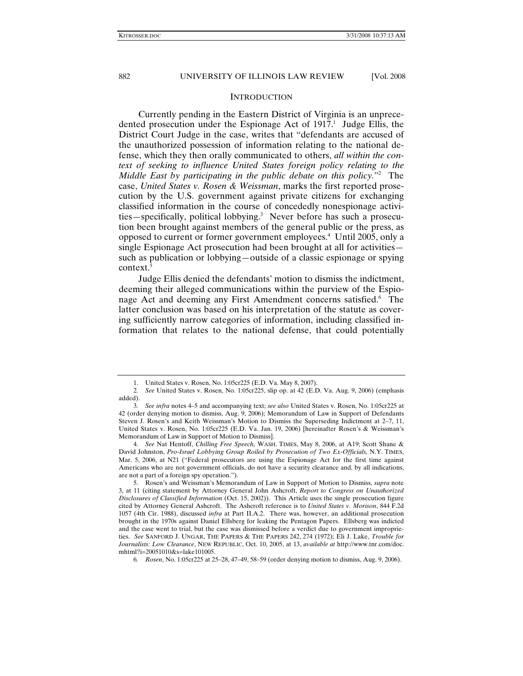#### **INTRODUCTION**

Currently pending in the Eastern District of Virginia is an unprecedented prosecution under the Espionage Act of  $1917<sup>1</sup>$  Judge Ellis, the District Court Judge in the case, writes that "defendants are accused of the unauthorized possession of information relating to the national defense, which they then orally communicated to others, *all within the context of seeking to influence United States foreign policy relating to the Middle East by participating in the public debate on this policy.*"2 The case, *United States v. Rosen & Weissman*, marks the first reported prosecution by the U.S. government against private citizens for exchanging classified information in the course of concededly nonespionage activities—specifically, political lobbying.<sup>3</sup> Never before has such a prosecution been brought against members of the general public or the press, as opposed to current or former government employees.4 Until 2005, only a single Espionage Act prosecution had been brought at all for activities such as publication or lobbying—outside of a classic espionage or spying context.<sup>5</sup>

Judge Ellis denied the defendants' motion to dismiss the indictment, deeming their alleged communications within the purview of the Espionage Act and deeming any First Amendment concerns satisfied.<sup>6</sup> The latter conclusion was based on his interpretation of the statute as covering sufficiently narrow categories of information, including classified information that relates to the national defense, that could potentially

 <sup>1.</sup> United States v. Rosen, No. 1:05cr225 (E.D. Va. May 8, 2007).

<sup>2</sup>*. See* United States v. Rosen, No. 1:05cr225, slip op. at 42 (E.D. Va. Aug. 9, 2006) (emphasis added).

<sup>3</sup>*. See infra* notes 4–5 and accompanying text; *see also* United States v. Rosen, No. 1:05cr225 at 42 (order denying motion to dismiss, Aug. 9, 2006); Memorandum of Law in Support of Defendants Steven J. Rosen's and Keith Weissman's Motion to Dismiss the Superseding Indictment at 2–7, 11, United States v. Rosen, No. 1:05cr225 (E.D. Va. Jan. 19, 2006) [hereinafter Rosen's & Weissman's Memorandum of Law in Support of Motion to Dismiss].

<sup>4</sup>*. See* Nat Hentoff, *Chilling Free Speech,* WASH. TIMES, May 8, 2006, at A19; Scott Shane & David Johnston, *Pro-Israel Lobbying Group Roiled by Prosecution of Two Ex-Officials,* N.Y. TIMES, Mar. 5, 2006, at N21 ("Federal prosecutors are using the Espionage Act for the first time against Americans who are not government officials, do not have a security clearance and, by all indications, are not a part of a foreign spy operation.").

 <sup>5.</sup> Rosen's and Weissman's Memorandum of Law in Support of Motion to Dismiss, *supra* note 3, at 11 (citing statement by Attorney General John Ashcroft, *Report to Congress on Unauthorized Disclosures of Classified Information* (Oct. 15, 2002)). This Article uses the single prosecution figure cited by Attorney General Ashcroft. The Ashcroft reference is to *United States v. Morison*, 844 F.2d 1057 (4th Cir. 1988), discussed *infra* at Part II.A.2. There was, however, an additional prosecution brought in the 1970s against Daniel Ellsberg for leaking the Pentagon Papers. Ellsberg was indicted and the case went to trial, but the case was dismissed before a verdict due to government improprieties. *See* SANFORD J. UNGAR, THE PAPERS & THE PAPERS 242, 274 (1972); Eli J. Lake, *Trouble for Journalists: Low Clearance*, NEW REPUBLIC, Oct. 10, 2005, at 13, *available at* http://www.tnr.com/doc. mhtml?i=20051010&s=lake101005.

<sup>6</sup>*. Rosen*, No. 1:05cr225 at 25–28, 47–49, 58–59 (order denying motion to dismiss, Aug. 9, 2006).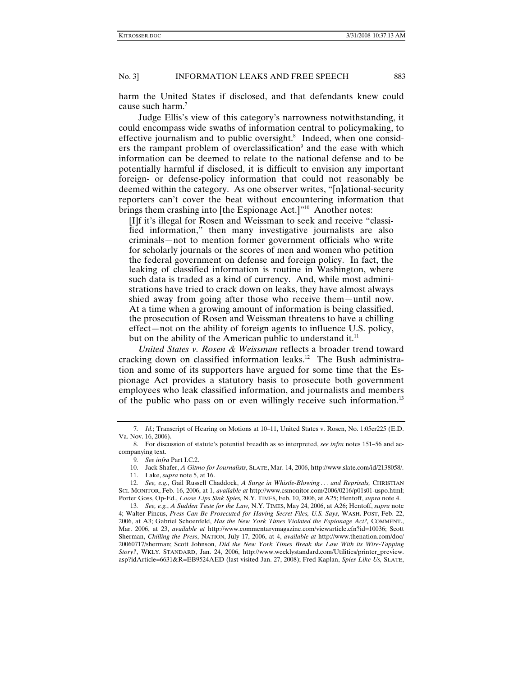harm the United States if disclosed, and that defendants knew could cause such harm.7

Judge Ellis's view of this category's narrowness notwithstanding, it could encompass wide swaths of information central to policymaking, to effective journalism and to public oversight.<sup>8</sup> Indeed, when one considers the rampant problem of overclassification<sup>9</sup> and the ease with which information can be deemed to relate to the national defense and to be potentially harmful if disclosed, it is difficult to envision any important foreign- or defense-policy information that could not reasonably be deemed within the category. As one observer writes, "[n]ational-security reporters can't cover the beat without encountering information that brings them crashing into [the Espionage Act.]"<sup>10</sup> Another notes:

[I]f it's illegal for Rosen and Weissman to seek and receive "classified information," then many investigative journalists are also criminals—not to mention former government officials who write for scholarly journals or the scores of men and women who petition the federal government on defense and foreign policy. In fact, the leaking of classified information is routine in Washington, where such data is traded as a kind of currency. And, while most administrations have tried to crack down on leaks, they have almost always shied away from going after those who receive them—until now. At a time when a growing amount of information is being classified, the prosecution of Rosen and Weissman threatens to have a chilling effect—not on the ability of foreign agents to influence U.S. policy, but on the ability of the American public to understand it.<sup>11</sup>

*United States v. Rosen & Weissman* reflects a broader trend toward cracking down on classified information leaks.<sup>12</sup> The Bush administration and some of its supporters have argued for some time that the Espionage Act provides a statutory basis to prosecute both government employees who leak classified information, and journalists and members of the public who pass on or even willingly receive such information.13

<sup>7</sup>*. Id.*; Transcript of Hearing on Motions at 10–11, United States v. Rosen, No. 1:05cr225 (E.D. Va. Nov. 16, 2006).

 <sup>8.</sup> For discussion of statute's potential breadth as so interpreted, *see infra* notes 151–56 and accompanying text.

<sup>9</sup>*. See infra* Part I.C.2.

 <sup>10.</sup> Jack Shafer, *A Gitmo for Journalists*, SLATE, Mar. 14, 2006, http://www.slate.com/id/2138058/.

 <sup>11.</sup> Lake, *supra* note 5, at 16.

<sup>12</sup>*. See, e.g.*, Gail Russell Chaddock, *A Surge in Whistle-Blowing . . . and Reprisals,* CHRISTIAN SCI. MONITOR, Feb. 16, 2006, at 1, *available at* http://www.csmonitor.com/2006/0216/p01s01-uspo.html; Porter Goss, Op-Ed., *Loose Lips Sink Spies,* N.Y. TIMES, Feb. 10, 2006, at A25; Hentoff, *supra* note 4.

<sup>13</sup>*. See, e.g.*, *A Sudden Taste for the Law,* N.Y. TIMES, May 24, 2006, at A26; Hentoff, *supra* note 4; Walter Pincus, *Press Can Be Prosecuted for Having Secret Files, U.S. Says,* WASH. POST, Feb. 22, 2006, at A3; Gabriel Schoenfeld, *Has the New York Times Violated the Espionage Act?,* COMMENT., Mar. 2006, at 23, *available at* http://www.commentarymagazine.com/viewarticle.cfn?id=10036; Scott Sherman, *Chilling the Press*, NATION, July 17, 2006, at 4, *available at* http://www.thenation.com/doc/ 20060717/sherman; Scott Johnson, *Did the New York Times Break the Law With its Wire-Tapping Story?*, WKLY. STANDARD, Jan. 24, 2006, http://www.weeklystandard.com/Utilities/printer\_preview. asp?idArticle=6631&R=EB9524AED (last visited Jan. 27, 2008); Fred Kaplan, *Spies Like Us,* SLATE,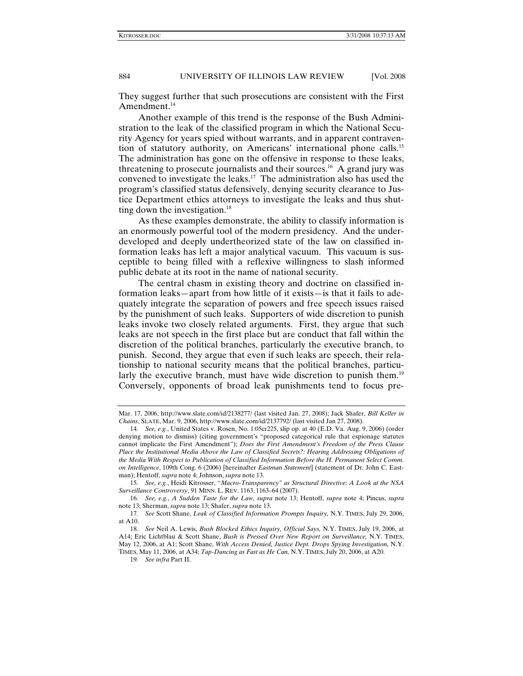They suggest further that such prosecutions are consistent with the First Amendment. $^{14}$ 

Another example of this trend is the response of the Bush Administration to the leak of the classified program in which the National Security Agency for years spied without warrants, and in apparent contravention of statutory authority, on Americans' international phone calls.15 The administration has gone on the offensive in response to these leaks, threatening to prosecute journalists and their sources.<sup>16</sup> A grand jury was convened to investigate the leaks.<sup>17</sup> The administration also has used the program's classified status defensively, denying security clearance to Justice Department ethics attorneys to investigate the leaks and thus shutting down the investigation. $18$ 

As these examples demonstrate, the ability to classify information is an enormously powerful tool of the modern presidency. And the underdeveloped and deeply undertheorized state of the law on classified information leaks has left a major analytical vacuum. This vacuum is susceptible to being filled with a reflexive willingness to slash informed public debate at its root in the name of national security.

The central chasm in existing theory and doctrine on classified information leaks—apart from how little of it exists—is that it fails to adequately integrate the separation of powers and free speech issues raised by the punishment of such leaks. Supporters of wide discretion to punish leaks invoke two closely related arguments. First, they argue that such leaks are not speech in the first place but are conduct that fall within the discretion of the political branches, particularly the executive branch, to punish. Second, they argue that even if such leaks are speech, their relationship to national security means that the political branches, particularly the executive branch, must have wide discretion to punish them.<sup>19</sup> Conversely, opponents of broad leak punishments tend to focus pre-

Mar. 17, 2006, http://www.slate.com/id/2138277/ (last visited Jan. 27, 2008); Jack Shafer, *Bill Keller in Chains*, SLATE, Mar. 9, 2006, http://www.slate.com/id/2137792/ (last visited Jan 27, 2008).

<sup>14</sup>*. See, e.g.*, United States v. Rosen, No. 1:05cr225, slip op. at 40 (E.D. Va. Aug. 9, 2006) (order denying motion to dismiss) (citing government's "proposed categorical rule that espionage statutes cannot implicate the First Amendment"); *Does the First Amendment's Freedom of the Press Clause Place the Institutional Media Above the Law of Classified Secrets?: Hearing Addressing Obligations of the Media With Respect to Publication of Classified Information Before the H. Permanent Select Comm. on Intelligence*, 109th Cong. 6 (2006) [hereinafter *Eastman Statement*] (statement of Dr. John C. Eastman); Hentoff, *supra* note 4; Johnson, *supra* note 13.

<sup>15</sup>*. See, e.g.*, Heidi Kitrosser, "*Macro-Transparency" as Structural Directive: A Look at the NSA Surveillance Controversy*, 91 MINN. L. REV. 1163, 1163–64 (2007).

<sup>16</sup>*. See, e.g.*, *A Sudden Taste for the Law, supra* note 13; Hentoff, *supra* note 4; Pincus, *supra*  note 13; Sherman, *supra* note 13; Shafer, *supra* note 13.

<sup>17</sup>*. See* Scott Shane, *Leak of Classified Information Prompts Inquiry,* N.Y. TIMES, July 29, 2006, at A10.

<sup>18</sup>*. See* Neil A. Lewis, *Bush Blocked Ethics Inquiry, Official Says,* N.Y. TIMES, July 19, 2006, at A14; Eric Lichtblau & Scott Shane, *Bush is Pressed Over New Report on Surveillance,* N.Y. TIMES, May 12, 2006, at A1; Scott Shane, *With Access Denied, Justice Dept. Drops Spying Investigation,* N.Y. TIMES, May 11, 2006, at A34; *Tap-Dancing as Fast as He Can,* N.Y. TIMES, July 20, 2006, at A20.

<sup>19</sup>*. See infra* Part II.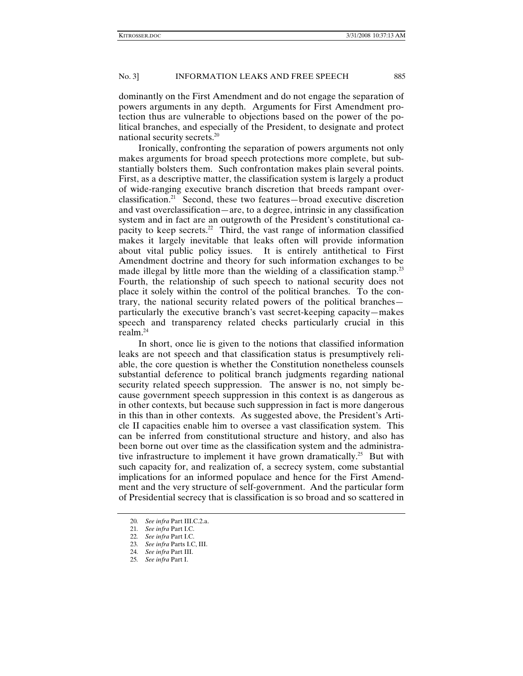dominantly on the First Amendment and do not engage the separation of powers arguments in any depth. Arguments for First Amendment protection thus are vulnerable to objections based on the power of the political branches, and especially of the President, to designate and protect national security secrets.20

Ironically, confronting the separation of powers arguments not only makes arguments for broad speech protections more complete, but substantially bolsters them. Such confrontation makes plain several points. First, as a descriptive matter, the classification system is largely a product of wide-ranging executive branch discretion that breeds rampant overclassification.21 Second, these two features—broad executive discretion and vast overclassification—are, to a degree, intrinsic in any classification system and in fact are an outgrowth of the President's constitutional capacity to keep secrets.<sup>22</sup> Third, the vast range of information classified makes it largely inevitable that leaks often will provide information about vital public policy issues. It is entirely antithetical to First Amendment doctrine and theory for such information exchanges to be made illegal by little more than the wielding of a classification stamp.<sup>23</sup> Fourth, the relationship of such speech to national security does not place it solely within the control of the political branches. To the contrary, the national security related powers of the political branches particularly the executive branch's vast secret-keeping capacity—makes speech and transparency related checks particularly crucial in this realm.24

In short, once lie is given to the notions that classified information leaks are not speech and that classification status is presumptively reliable, the core question is whether the Constitution nonetheless counsels substantial deference to political branch judgments regarding national security related speech suppression. The answer is no, not simply because government speech suppression in this context is as dangerous as in other contexts, but because such suppression in fact is more dangerous in this than in other contexts. As suggested above, the President's Article II capacities enable him to oversee a vast classification system. This can be inferred from constitutional structure and history, and also has been borne out over time as the classification system and the administrative infrastructure to implement it have grown dramatically.<sup>25</sup> But with such capacity for, and realization of, a secrecy system, come substantial implications for an informed populace and hence for the First Amendment and the very structure of self-government. And the particular form of Presidential secrecy that is classification is so broad and so scattered in

<sup>20</sup>*. See infra* Part III.C.2.a.

<sup>21</sup>*. See infra* Part I.C.

<sup>22</sup>*. See infra* Part I.C.

<sup>23</sup>*. See infra* Parts I.C, III.

<sup>24</sup>*. See infra* Part III.

<sup>25</sup>*. See infra* Part I.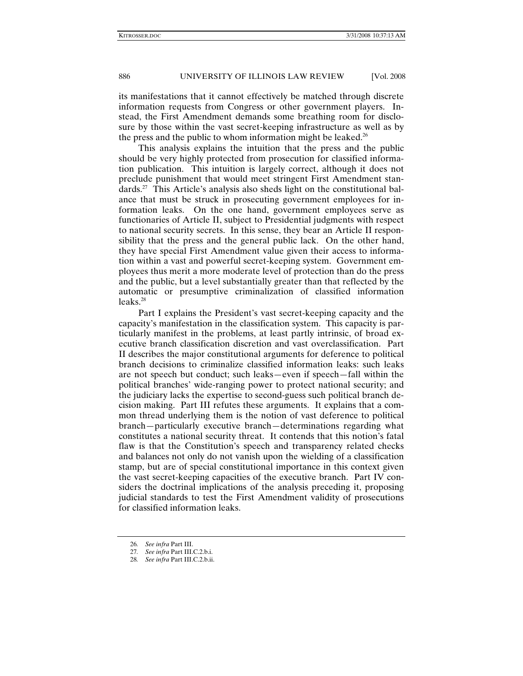its manifestations that it cannot effectively be matched through discrete information requests from Congress or other government players. Instead, the First Amendment demands some breathing room for disclosure by those within the vast secret-keeping infrastructure as well as by the press and the public to whom information might be leaked.<sup>26</sup>

This analysis explains the intuition that the press and the public should be very highly protected from prosecution for classified information publication. This intuition is largely correct, although it does not preclude punishment that would meet stringent First Amendment standards.<sup>27</sup> This Article's analysis also sheds light on the constitutional balance that must be struck in prosecuting government employees for information leaks. On the one hand, government employees serve as functionaries of Article II, subject to Presidential judgments with respect to national security secrets. In this sense, they bear an Article II responsibility that the press and the general public lack. On the other hand, they have special First Amendment value given their access to information within a vast and powerful secret-keeping system. Government employees thus merit a more moderate level of protection than do the press and the public, but a level substantially greater than that reflected by the automatic or presumptive criminalization of classified information  $leaks.<sup>28</sup>$ 

Part I explains the President's vast secret-keeping capacity and the capacity's manifestation in the classification system. This capacity is particularly manifest in the problems, at least partly intrinsic, of broad executive branch classification discretion and vast overclassification. Part II describes the major constitutional arguments for deference to political branch decisions to criminalize classified information leaks: such leaks are not speech but conduct; such leaks—even if speech—fall within the political branches' wide-ranging power to protect national security; and the judiciary lacks the expertise to second-guess such political branch decision making. Part III refutes these arguments. It explains that a common thread underlying them is the notion of vast deference to political branch—particularly executive branch—determinations regarding what constitutes a national security threat. It contends that this notion's fatal flaw is that the Constitution's speech and transparency related checks and balances not only do not vanish upon the wielding of a classification stamp, but are of special constitutional importance in this context given the vast secret-keeping capacities of the executive branch. Part IV considers the doctrinal implications of the analysis preceding it, proposing judicial standards to test the First Amendment validity of prosecutions for classified information leaks.

<sup>26</sup>*. See infra* Part III.

<sup>27</sup>*. See infra* Part III.C.2.b.i.

<sup>28</sup>*. See infra* Part III.C.2.b.ii.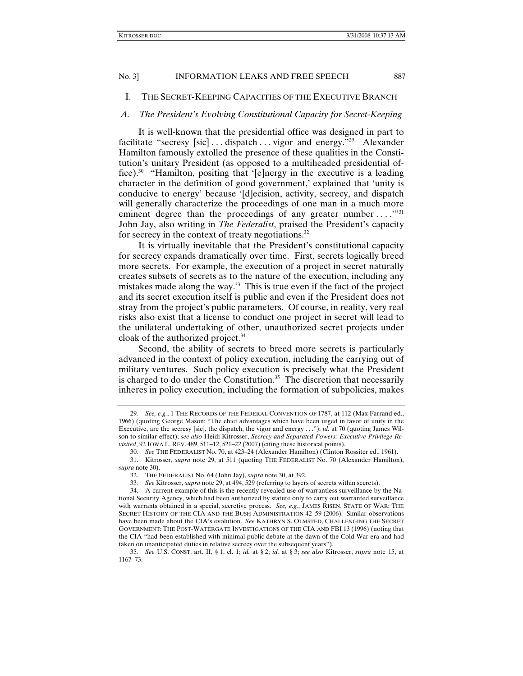# I. THE SECRET-KEEPING CAPACITIES OF THE EXECUTIVE BRANCH

#### *A. The President's Evolving Constitutional Capacity for Secret-Keeping*

It is well-known that the presidential office was designed in part to facilitate "secresy [sic] ... dispatch ... vigor and energy."<sup>29</sup> Alexander Hamilton famously extolled the presence of these qualities in the Constitution's unitary President (as opposed to a multiheaded presidential office).30 "Hamilton, positing that '[e]nergy in the executive is a leading character in the definition of good government,' explained that 'unity is conducive to energy' because '[d]ecision, activity, secrecy, and dispatch will generally characterize the proceedings of one man in a much more eminent degree than the proceedings of any greater number  $\dots$  ..."<sup>31</sup> John Jay, also writing in *The Federalist*, praised the President's capacity for secrecy in the context of treaty negotiations. $32$ 

It is virtually inevitable that the President's constitutional capacity for secrecy expands dramatically over time. First, secrets logically breed more secrets. For example, the execution of a project in secret naturally creates subsets of secrets as to the nature of the execution, including any mistakes made along the way. $33$  This is true even if the fact of the project and its secret execution itself is public and even if the President does not stray from the project's public parameters. Of course, in reality, very real risks also exist that a license to conduct one project in secret will lead to the unilateral undertaking of other, unauthorized secret projects under cloak of the authorized project.<sup>34</sup>

Second, the ability of secrets to breed more secrets is particularly advanced in the context of policy execution, including the carrying out of military ventures. Such policy execution is precisely what the President is charged to do under the Constitution. $35$  The discretion that necessarily inheres in policy execution, including the formation of subpolicies, makes

<sup>29</sup>*. See, e.g.*, 1 THE RECORDS OF THE FEDERAL CONVENTION OF 1787, at 112 (Max Farrand ed., 1966) (quoting George Mason: "The chief advantages which have been urged in favor of unity in the Executive, are the secresy [sic], the dispatch, the vigor and energy . . ."); *id.* at 70 (quoting James Wilson to similar effect); *see also* Heidi Kitrosser, *Secrecy and Separated Powers: Executive Privilege Revisited*, 92 IOWA L. REV. 489, 511–12, 521–22 (2007) (citing these historical points).

<sup>30</sup>*. See* THE FEDERALIST No. 70, at 423–24 (Alexander Hamilton) (Clinton Rossiter ed., 1961).

 <sup>31.</sup> Kitrosser, *supra* note 29, at 511 (quoting THE FEDERALIST No. 70 (Alexander Hamilton), *supra* note 30).

 <sup>32.</sup> THE FEDERALIST No. 64 (John Jay), *supra* note 30, at 392.

<sup>33</sup>*. See* Kitrosser, *supra* note 29, at 494, 529 (referring to layers of secrets within secrets).

 <sup>34.</sup> A current example of this is the recently revealed use of warrantless surveillance by the National Security Agency, which had been authorized by statute only to carry out warranted surveillance with warrants obtained in a special, secretive process. *See, e.g.*, JAMES RISEN, STATE OF WAR: THE SECRET HISTORY OF THE CIA AND THE BUSH ADMINISTRATION 42–59 (2006). Similar observations have been made about the CIA's evolution. *See* KATHRYN S. OLMSTED, CHALLENGING THE SECRET GOVERNMENT: THE POST-WATERGATE INVESTIGATIONS OF THE CIA AND FBI 13 (1996) (noting that the CIA "had been established with minimal public debate at the dawn of the Cold War era and had taken on unanticipated duties in relative secrecy over the subsequent years").

<sup>35</sup>*. See* U.S. CONST. art. II, § 1, cl. 1; *id.* at § 2; *id.* at § 3; *see also* Kitrosser, *supra* note 15, at 1167–73.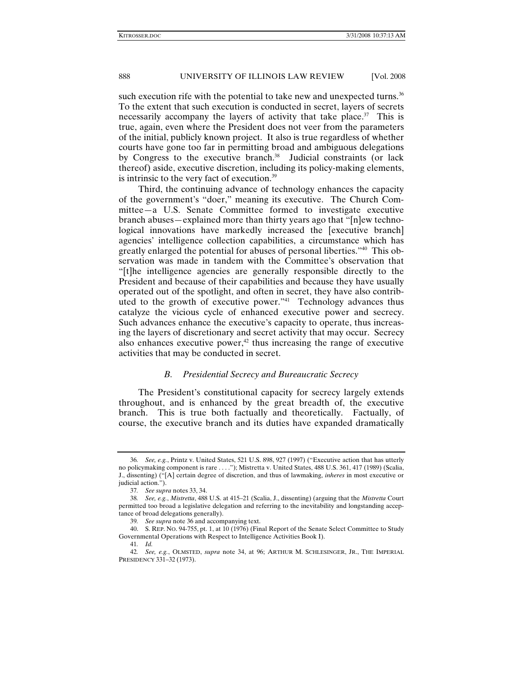such execution rife with the potential to take new and unexpected turns.<sup>36</sup> To the extent that such execution is conducted in secret, layers of secrets necessarily accompany the layers of activity that take place.<sup>37</sup> This is true, again, even where the President does not veer from the parameters of the initial, publicly known project. It also is true regardless of whether courts have gone too far in permitting broad and ambiguous delegations by Congress to the executive branch.<sup>38</sup> Judicial constraints (or lack thereof) aside, executive discretion, including its policy-making elements, is intrinsic to the very fact of execution.<sup>39</sup>

Third, the continuing advance of technology enhances the capacity of the government's "doer," meaning its executive. The Church Committee—a U.S. Senate Committee formed to investigate executive branch abuses—explained more than thirty years ago that "[n]ew technological innovations have markedly increased the [executive branch] agencies' intelligence collection capabilities, a circumstance which has greatly enlarged the potential for abuses of personal liberties."40 This observation was made in tandem with the Committee's observation that "[t]he intelligence agencies are generally responsible directly to the President and because of their capabilities and because they have usually operated out of the spotlight, and often in secret, they have also contributed to the growth of executive power."<sup>41</sup> Technology advances thus catalyze the vicious cycle of enhanced executive power and secrecy. Such advances enhance the executive's capacity to operate, thus increasing the layers of discretionary and secret activity that may occur. Secrecy also enhances executive power, $42$  thus increasing the range of executive activities that may be conducted in secret.

# *B. Presidential Secrecy and Bureaucratic Secrecy*

The President's constitutional capacity for secrecy largely extends throughout, and is enhanced by the great breadth of, the executive branch. This is true both factually and theoretically. Factually, of course, the executive branch and its duties have expanded dramatically

<sup>36</sup>*. See, e.g.*, Printz v. United States, 521 U.S. 898, 927 (1997) ("Executive action that has utterly no policymaking component is rare . . . ."); Mistretta v. United States, 488 U.S. 361, 417 (1989) (Scalia, J., dissenting) ("[A] certain degree of discretion, and thus of lawmaking, *inheres* in most executive or judicial action.").

<sup>37</sup>*. See supra* notes 33, 34.

<sup>38</sup>*. See, e.g.*, *Mistretta*, 488 U.S. at 415–21 (Scalia, J., dissenting) (arguing that the *Mistretta* Court permitted too broad a legislative delegation and referring to the inevitability and longstanding acceptance of broad delegations generally).

<sup>39</sup>*. See supra* note 36 and accompanying text.

 <sup>40.</sup> S. REP. NO. 94-755, pt. 1, at 10 (1976) (Final Report of the Senate Select Committee to Study Governmental Operations with Respect to Intelligence Activities Book I).

<sup>41</sup>*. Id.*

<sup>42</sup>*. See, e.g.*, OLMSTED, *supra* note 34, at 96; ARTHUR M. SCHLESINGER, JR., THE IMPERIAL PRESIDENCY 331–32 (1973).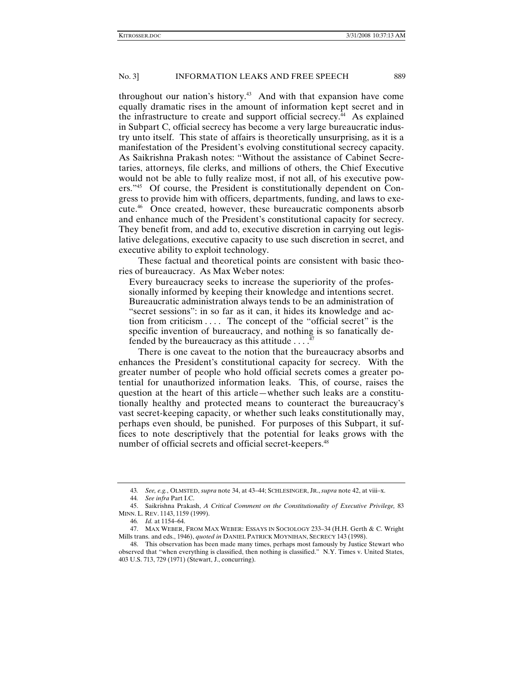throughout our nation's history.<sup>43</sup> And with that expansion have come equally dramatic rises in the amount of information kept secret and in the infrastructure to create and support official secrecy.<sup> $44$ </sup> As explained in Subpart C, official secrecy has become a very large bureaucratic industry unto itself. This state of affairs is theoretically unsurprising, as it is a manifestation of the President's evolving constitutional secrecy capacity. As Saikrishna Prakash notes: "Without the assistance of Cabinet Secretaries, attorneys, file clerks, and millions of others, the Chief Executive would not be able to fully realize most, if not all, of his executive powers."45 Of course, the President is constitutionally dependent on Congress to provide him with officers, departments, funding, and laws to execute.46 Once created, however, these bureaucratic components absorb and enhance much of the President's constitutional capacity for secrecy. They benefit from, and add to, executive discretion in carrying out legislative delegations, executive capacity to use such discretion in secret, and executive ability to exploit technology.

These factual and theoretical points are consistent with basic theories of bureaucracy. As Max Weber notes:

Every bureaucracy seeks to increase the superiority of the professionally informed by keeping their knowledge and intentions secret. Bureaucratic administration always tends to be an administration of "secret sessions": in so far as it can, it hides its knowledge and action from criticism . . . . The concept of the "official secret" is the specific invention of bureaucracy, and nothing is so fanatically defended by the bureaucracy as this attitude . . . .47

There is one caveat to the notion that the bureaucracy absorbs and enhances the President's constitutional capacity for secrecy. With the greater number of people who hold official secrets comes a greater potential for unauthorized information leaks. This, of course, raises the question at the heart of this article—whether such leaks are a constitutionally healthy and protected means to counteract the bureaucracy's vast secret-keeping capacity, or whether such leaks constitutionally may, perhaps even should, be punished. For purposes of this Subpart, it suffices to note descriptively that the potential for leaks grows with the number of official secrets and official secret-keepers.<sup>48</sup>

<sup>43</sup>*. See, e.g.*, OLMSTED, *supra* note 34, at 43–44; SCHLESINGER, JR., *supra* note 42, at viii–x.

<sup>44</sup>*. See infra* Part I.C.

 <sup>45.</sup> Saikrishna Prakash, *A Critical Comment on the Constitutionality of Executive Privilege,* 83 MINN. L. REV. 1143, 1159 (1999).

<sup>46</sup>*. Id.* at 1154–64.

 <sup>47.</sup> MAX WEBER, FROM MAX WEBER: ESSAYS IN SOCIOLOGY 233–34 (H.H. Gerth & C. Wright Mills trans. and eds., 1946), *quoted in* DANIEL PATRICK MOYNIHAN, SECRECY 143 (1998).

 <sup>48.</sup> This observation has been made many times, perhaps most famously by Justice Stewart who observed that "when everything is classified, then nothing is classified." N.Y. Times v. United States, 403 U.S. 713, 729 (1971) (Stewart, J., concurring).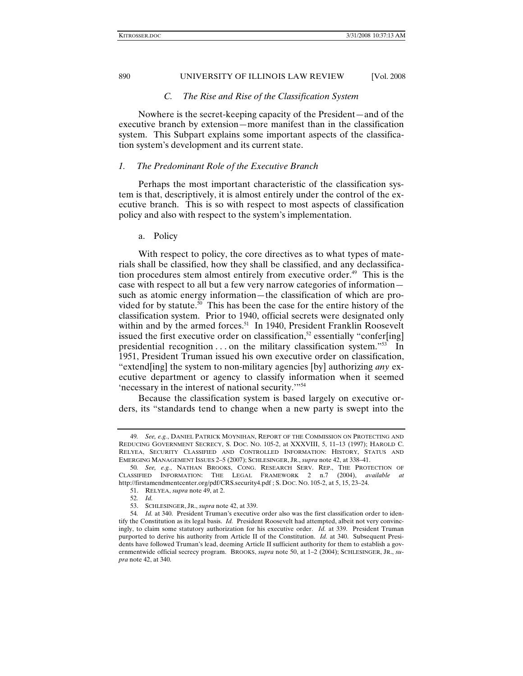#### *C. The Rise and Rise of the Classification System*

Nowhere is the secret-keeping capacity of the President—and of the executive branch by extension—more manifest than in the classification system. This Subpart explains some important aspects of the classification system's development and its current state.

#### *1. The Predominant Role of the Executive Branch*

Perhaps the most important characteristic of the classification system is that, descriptively, it is almost entirely under the control of the executive branch. This is so with respect to most aspects of classification policy and also with respect to the system's implementation.

#### a. Policy

With respect to policy, the core directives as to what types of materials shall be classified, how they shall be classified, and any declassification procedures stem almost entirely from executive order.<sup>49</sup> This is the case with respect to all but a few very narrow categories of information such as atomic energy information—the classification of which are provided for by statute.<sup>50</sup> This has been the case for the entire history of the classification system. Prior to 1940, official secrets were designated only within and by the armed forces.<sup>51</sup> In 1940, President Franklin Roosevelt issued the first executive order on classification,<sup>52</sup> essentially "confer[ing] presidential recognition  $\dots$  on the military classification system."<sup>53</sup> In 1951, President Truman issued his own executive order on classification, "extend[ing] the system to non-military agencies [by] authorizing *any* executive department or agency to classify information when it seemed 'necessary in the interest of national security.'"54

Because the classification system is based largely on executive orders, its "standards tend to change when a new party is swept into the

<sup>49</sup>*. See, e.g.*, DANIEL PATRICK MOYNIHAN, REPORT OF THE COMMISSION ON PROTECTING AND REDUCING GOVERNMENT SECRECY, S. DOC. NO. 105-2, at XXXVIII, 5, 11–13 (1997); HAROLD C. RELYEA, SECURITY CLASSIFIED AND CONTROLLED INFORMATION: HISTORY, STATUS AND EMERGING MANAGEMENT ISSUES 2–5 (2007); SCHLESINGER, JR., *supra* note 42, at 338–41.

<sup>50</sup>*. See, e.g.*, NATHAN BROOKS, CONG. RESEARCH SERV. REP., THE PROTECTION OF CLASSIFIED INFORMATION: THE LEGAL FRAMEWORK 2 n.7 (2004), *available at* http://firstamendmentcenter.org/pdf/CRS.security4.pdf ; S. DOC. NO. 105-2, at 5, 15, 23–24.

 <sup>51.</sup> RELYEA, *supra* note 49, at 2.

<sup>52</sup>*. Id.*

 <sup>53.</sup> SCHLESINGER, JR., *supra* note 42, at 339.

<sup>54</sup>*. Id.* at 340. President Truman's executive order also was the first classification order to identify the Constitution as its legal basis. *Id.* President Roosevelt had attempted, albeit not very convincingly, to claim some statutory authorization for his executive order. *Id.* at 339. President Truman purported to derive his authority from Article II of the Constitution. *Id.* at 340. Subsequent Presidents have followed Truman's lead, deeming Article II sufficient authority for them to establish a governmentwide official secrecy program. BROOKS, *supra* note 50, at 1–2 (2004); SCHLESINGER, JR., *supra* note 42, at 340.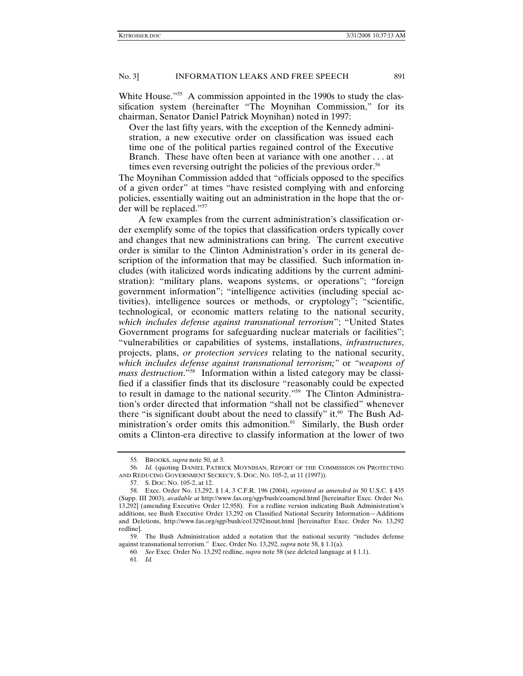White House.<sup>"55</sup> A commission appointed in the 1990s to study the classification system (hereinafter "The Moynihan Commission," for its chairman, Senator Daniel Patrick Moynihan) noted in 1997:

Over the last fifty years, with the exception of the Kennedy administration, a new executive order on classification was issued each time one of the political parties regained control of the Executive Branch. These have often been at variance with one another . . . at times even reversing outright the policies of the previous order.<sup>56</sup>

The Moynihan Commission added that "officials opposed to the specifics of a given order" at times "have resisted complying with and enforcing policies, essentially waiting out an administration in the hope that the order will be replaced."57

A few examples from the current administration's classification order exemplify some of the topics that classification orders typically cover and changes that new administrations can bring. The current executive order is similar to the Clinton Administration's order in its general description of the information that may be classified. Such information includes (with italicized words indicating additions by the current administration): "military plans, weapons systems, or operations"; "foreign government information"; "intelligence activities (including special activities), intelligence sources or methods, or cryptology"; "scientific, technological, or economic matters relating to the national security, *which includes defense against transnational terrorism*"; "United States Government programs for safeguarding nuclear materials or facilities"; "vulnerabilities or capabilities of systems, installations, *infrastructures*, projects, plans, *or protection services* relating to the national security, *which includes defense against transnational terrorism;"* or *"weapons of mass destruction*."58 Information within a listed category may be classified if a classifier finds that its disclosure "reasonably could be expected to result in damage to the national security."59 The Clinton Administration's order directed that information "shall not be classified" whenever there "is significant doubt about the need to classify" it. $60$  The Bush Administration's order omits this admonition.<sup>61</sup> Similarly, the Bush order omits a Clinton-era directive to classify information at the lower of two

 <sup>55.</sup> BROOKS, *supra* note 50, at 3.

<sup>56</sup>*. Id.* (quoting DANIEL PATRICK MOYNIHAN, REPORT OF THE COMMISSION ON PROTECTING AND REDUCING GOVERNMENT SECRECY, S. DOC. NO. 105-2, at 11 (1997)).

 <sup>57.</sup> S. DOC. NO. 105-2, at 12.

 <sup>58.</sup> Exec. Order No. 13,292, § 1.4, 3 C.F.R. 196 (2004), *reprinted as amended in* 50 U.S.C. § 435 (Supp. III 2003), *available at* http://www.fas.org/sgp/bush/eoamend.html [hereinafter Exec. Order No. 13,292] (amending Executive Order 12,958). For a redline version indicating Bush Administration's additions, see Bush Executive Order 13,292 on Classified National Security Information—Additions and Deletions, http://www.fas.org/sgp/bush/eo13292inout.html [hereinafter Exec. Order No. 13,292 redline].

 <sup>59.</sup> The Bush Administration added a notation that the national security "includes defense against transnational terrorism." Exec. Order No. 13,292, *supra* note 58, § 1.1(a).

<sup>60</sup>*. See* Exec. Order No. 13,292 redline, *supra* note 58 (see deleted language at § 1.1).

<sup>61</sup>*. Id.*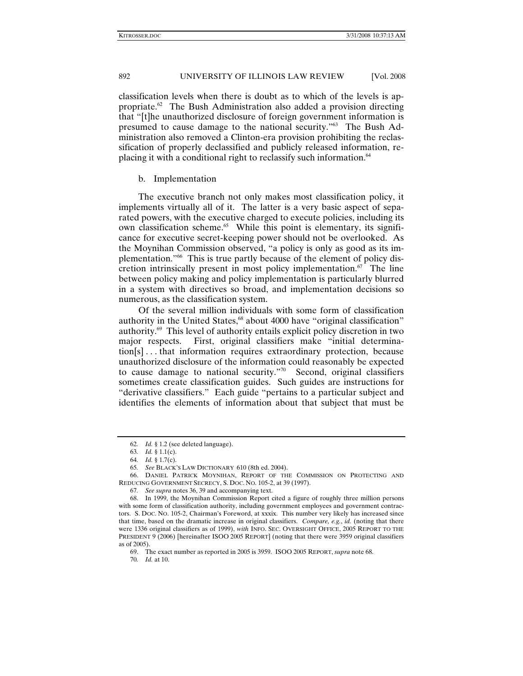classification levels when there is doubt as to which of the levels is appropriate.62 The Bush Administration also added a provision directing that "[t]he unauthorized disclosure of foreign government information is presumed to cause damage to the national security."63 The Bush Administration also removed a Clinton-era provision prohibiting the reclassification of properly declassified and publicly released information, replacing it with a conditional right to reclassify such information.64

#### b. Implementation

The executive branch not only makes most classification policy, it implements virtually all of it. The latter is a very basic aspect of separated powers, with the executive charged to execute policies, including its own classification scheme.65 While this point is elementary, its significance for executive secret-keeping power should not be overlooked. As the Moynihan Commission observed, "a policy is only as good as its implementation."66 This is true partly because of the element of policy discretion intrinsically present in most policy implementation.<sup>67</sup> The line between policy making and policy implementation is particularly blurred in a system with directives so broad, and implementation decisions so numerous, as the classification system.

Of the several million individuals with some form of classification authority in the United States,<sup>68</sup> about 4000 have "original classification" authority.69 This level of authority entails explicit policy discretion in two major respects. First, original classifiers make "initial determination[s] . . . that information requires extraordinary protection, because unauthorized disclosure of the information could reasonably be expected to cause damage to national security."70 Second, original classifiers sometimes create classification guides. Such guides are instructions for "derivative classifiers." Each guide "pertains to a particular subject and identifies the elements of information about that subject that must be

<sup>62</sup>*. Id.* § 1.2 (see deleted language).

<sup>63</sup>*. Id.* § 1.1(c).

<sup>64</sup>*. Id.* § 1.7(c).

<sup>65</sup>*. See* BLACK'S LAW DICTIONARY 610 (8th ed. 2004).

 <sup>66.</sup> DANIEL PATRICK MOYNIHAN, REPORT OF THE COMMISSION ON PROTECTING AND REDUCING GOVERNMENT SECRECY, S. DOC. NO. 105-2, at 39 (1997).

<sup>67</sup>*. See supra* notes 36, 39 and accompanying text.

 <sup>68.</sup> In 1999, the Moynihan Commission Report cited a figure of roughly three million persons with some form of classification authority, including government employees and government contractors. S. DOC. NO. 105-2, Chairman's Foreword, at xxxix. This number very likely has increased since that time, based on the dramatic increase in original classifiers. *Compare, e.g.*, *id.* (noting that there were 1336 original classifiers as of 1999), *with* INFO. SEC. OVERSIGHT OFFICE, 2005 REPORT TO THE PRESIDENT 9 (2006) [hereinafter ISOO 2005 REPORT] (noting that there were 3959 original classifiers as of 2005).

 <sup>69.</sup> The exact number as reported in 2005 is 3959. ISOO 2005 REPORT, *supra* note 68.

<sup>70</sup>*. Id.* at 10.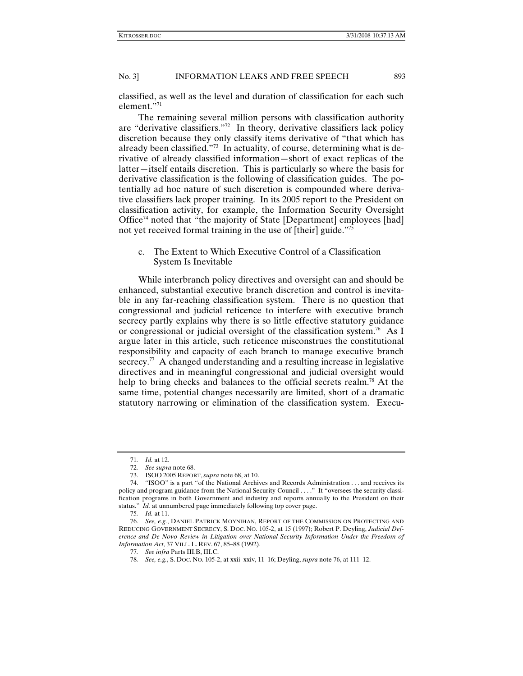classified, as well as the level and duration of classification for each such element."71

The remaining several million persons with classification authority are "derivative classifiers."72 In theory, derivative classifiers lack policy discretion because they only classify items derivative of "that which has already been classified."73 In actuality, of course, determining what is derivative of already classified information—short of exact replicas of the latter—itself entails discretion. This is particularly so where the basis for derivative classification is the following of classification guides. The potentially ad hoc nature of such discretion is compounded where derivative classifiers lack proper training. In its 2005 report to the President on classification activity, for example, the Information Security Oversight Office<sup>74</sup> noted that "the majority of State [Department] employees [had] not yet received formal training in the use of [their] guide."75

# c. The Extent to Which Executive Control of a Classification System Is Inevitable

While interbranch policy directives and oversight can and should be enhanced, substantial executive branch discretion and control is inevitable in any far-reaching classification system. There is no question that congressional and judicial reticence to interfere with executive branch secrecy partly explains why there is so little effective statutory guidance or congressional or judicial oversight of the classification system.<sup>76</sup> As I argue later in this article, such reticence misconstrues the constitutional responsibility and capacity of each branch to manage executive branch secrecy.<sup>77</sup> A changed understanding and a resulting increase in legislative directives and in meaningful congressional and judicial oversight would help to bring checks and balances to the official secrets realm.<sup>78</sup> At the same time, potential changes necessarily are limited, short of a dramatic statutory narrowing or elimination of the classification system. Execu-

<sup>71</sup>*. Id.* at 12.

<sup>72</sup>*. See supra* note 68.

 <sup>73.</sup> ISOO 2005 REPORT, *supra* note 68, at 10.

 <sup>74. &</sup>quot;ISOO" is a part "of the National Archives and Records Administration . . . and receives its policy and program guidance from the National Security Council . . . ." It "oversees the security classification programs in both Government and industry and reports annually to the President on their status." *Id.* at unnumbered page immediately following top cover page.

<sup>75</sup>*. Id.* at 11.

<sup>76</sup>*. See, e.g.*, DANIEL PATRICK MOYNIHAN, REPORT OF THE COMMISSION ON PROTECTING AND REDUCING GOVERNMENT SECRECY, S. DOC. NO. 105-2, at 15 (1997); Robert P. Deyling, *Judicial Deference and De Novo Review in Litigation over National Security Information Under the Freedom of Information Act*, 37 VILL. L. REV. 67, 85–88 (1992).

<sup>77</sup>*. See infra* Parts III.B, III.C.

<sup>78</sup>*. See, e.g.*, S. DOC. NO. 105-2, at xxii–xxiv, 11–16; Deyling, *supra* note 76, at 111–12.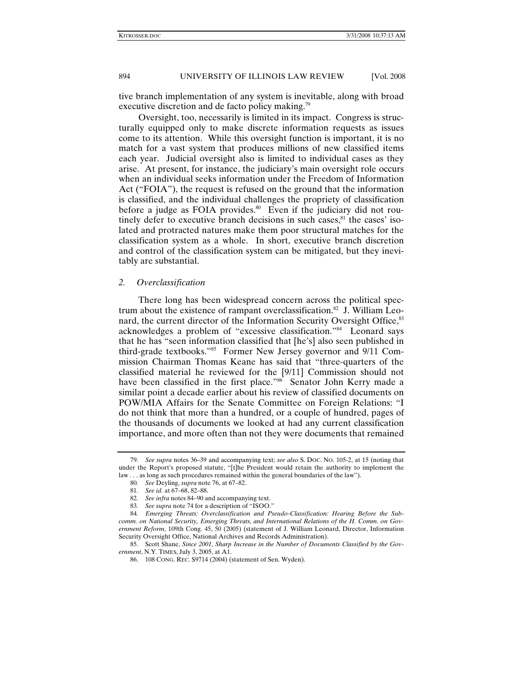tive branch implementation of any system is inevitable, along with broad executive discretion and de facto policy making.<sup>79</sup>

Oversight, too, necessarily is limited in its impact. Congress is structurally equipped only to make discrete information requests as issues come to its attention. While this oversight function is important, it is no match for a vast system that produces millions of new classified items each year. Judicial oversight also is limited to individual cases as they arise. At present, for instance, the judiciary's main oversight role occurs when an individual seeks information under the Freedom of Information Act ("FOIA"), the request is refused on the ground that the information is classified, and the individual challenges the propriety of classification before a judge as FOIA provides.<sup>80</sup> Even if the judiciary did not routinely defer to executive branch decisions in such cases, $81$  the cases' isolated and protracted natures make them poor structural matches for the classification system as a whole. In short, executive branch discretion and control of the classification system can be mitigated, but they inevitably are substantial.

## *2. Overclassification*

There long has been widespread concern across the political spectrum about the existence of rampant overclassification.<sup>82</sup> J. William Leonard, the current director of the Information Security Oversight Office,<sup>83</sup> acknowledges a problem of "excessive classification."84 Leonard says that he has "seen information classified that [he's] also seen published in third-grade textbooks."85 Former New Jersey governor and 9/11 Commission Chairman Thomas Keane has said that "three-quarters of the classified material he reviewed for the [9/11] Commission should not have been classified in the first place."<sup>86</sup> Senator John Kerry made a similar point a decade earlier about his review of classified documents on POW/MIA Affairs for the Senate Committee on Foreign Relations: "I do not think that more than a hundred, or a couple of hundred, pages of the thousands of documents we looked at had any current classification importance, and more often than not they were documents that remained

 85. Scott Shane, *Since 2001, Sharp Increase in the Number of Documents Classified by the Government*, N.Y. TIMES, July 3, 2005, at A1.

<sup>79</sup>*. See supra* notes 36–39 and accompanying text; *see also* S. DOC. NO. 105-2, at 15 (noting that under the Report's proposed statute, "[t]he President would retain the authority to implement the law . . . as long as such procedures remained within the general boundaries of the law").

<sup>80</sup>*. See* Deyling, *supra* note 76, at 67–82.

<sup>81</sup>*. See id.* at 67–68, 82–88.

<sup>82</sup>*. See infra* notes 84–90 and accompanying text.

<sup>83</sup>*. See supra* note 74 for a description of "ISOO."

<sup>84</sup>*. Emerging Threats: Overclassification and Pseudo-Classification: Hearing Before the Subcomm. on National Security, Emerging Threats, and International Relations of the H. Comm. on Government Reform*, 109th Cong. 45, 50 (2005) (statement of J. William Leonard, Director, Information Security Oversight Office, National Archives and Records Administration).

 <sup>86. 108</sup> CONG. REC. S9714 (2004) (statement of Sen. Wyden).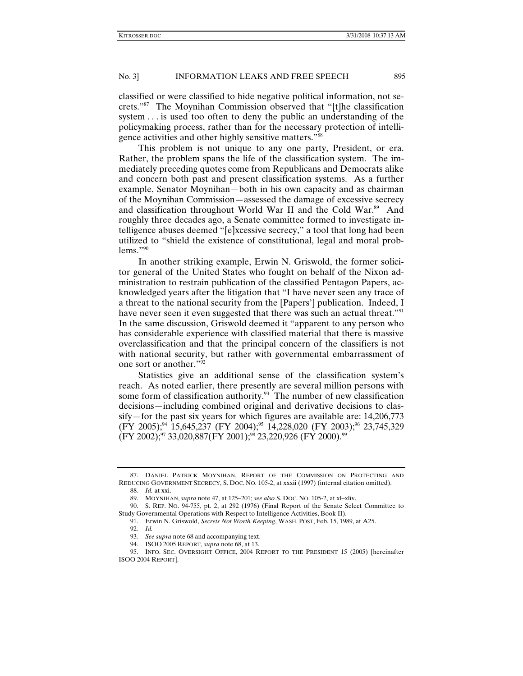classified or were classified to hide negative political information, not secrets."87 The Moynihan Commission observed that "[t]he classification system . . . is used too often to deny the public an understanding of the policymaking process, rather than for the necessary protection of intelligence activities and other highly sensitive matters."<sup>88</sup>

This problem is not unique to any one party, President, or era. Rather, the problem spans the life of the classification system. The immediately preceding quotes come from Republicans and Democrats alike and concern both past and present classification systems. As a further example, Senator Moynihan—both in his own capacity and as chairman of the Moynihan Commission—assessed the damage of excessive secrecy and classification throughout World War II and the Cold War.<sup>89</sup> And roughly three decades ago, a Senate committee formed to investigate intelligence abuses deemed "[e]xcessive secrecy," a tool that long had been utilized to "shield the existence of constitutional, legal and moral prob $lems."$ <sup>90</sup>

In another striking example, Erwin N. Griswold, the former solicitor general of the United States who fought on behalf of the Nixon administration to restrain publication of the classified Pentagon Papers, acknowledged years after the litigation that "I have never seen any trace of a threat to the national security from the [Papers'] publication. Indeed, I have never seen it even suggested that there was such an actual threat."<sup>91</sup> In the same discussion, Griswold deemed it "apparent to any person who has considerable experience with classified material that there is massive overclassification and that the principal concern of the classifiers is not with national security, but rather with governmental embarrassment of one sort or another."<sup>92</sup>

Statistics give an additional sense of the classification system's reach. As noted earlier, there presently are several million persons with some form of classification authority.<sup>93</sup> The number of new classification decisions—including combined original and derivative decisions to classify—for the past six years for which figures are available are: 14,206,773 (FY 2005);<sup>94</sup> 15,645,237 (FY 2004);<sup>95</sup> 14,228,020 (FY 2003);<sup>96</sup> 23,745,329  $(FY 2002);^{97}$  33,020,887 $(FY 2001);^{98}$  23,220,926  $(FY 2000).^{99}$ 

 <sup>87.</sup> DANIEL PATRICK MOYNIHAN, REPORT OF THE COMMISSION ON PROTECTING AND REDUCING GOVERNMENT SECRECY, S. DOC. NO. 105-2, at xxxii (1997) (internal citation omitted).

<sup>88</sup>*. Id.* at xxi.

 <sup>89.</sup> MOYNIHAN, *supra* note 47, at 125–201; *see also* S. DOC. NO. 105-2, at xl–xliv.

 <sup>90.</sup> S. REP. NO. 94-755, pt. 2, at 292 (1976) (Final Report of the Senate Select Committee to Study Governmental Operations with Respect to Intelligence Activities, Book II).

 <sup>91.</sup> Erwin N. Griswold, *Secrets Not Worth Keeping*, WASH. POST, Feb. 15, 1989, at A25.

<sup>92</sup>*. Id.*

<sup>93</sup>*. See supra* note 68 and accompanying text.

 <sup>94.</sup> ISOO 2005 REPORT, *supra* note 68, at 13.

 <sup>95.</sup> INFO. SEC. OVERSIGHT OFFICE, 2004 REPORT TO THE PRESIDENT 15 (2005) [hereinafter ISOO 2004 REPORT].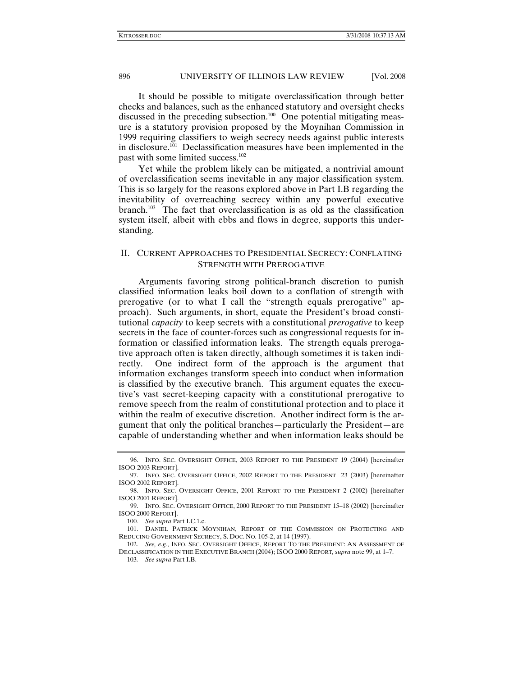It should be possible to mitigate overclassification through better checks and balances, such as the enhanced statutory and oversight checks discussed in the preceding subsection.<sup>100</sup> One potential mitigating measure is a statutory provision proposed by the Moynihan Commission in 1999 requiring classifiers to weigh secrecy needs against public interests in disclosure.101 Declassification measures have been implemented in the past with some limited success.<sup>102</sup>

Yet while the problem likely can be mitigated, a nontrivial amount of overclassification seems inevitable in any major classification system. This is so largely for the reasons explored above in Part I.B regarding the inevitability of overreaching secrecy within any powerful executive branch.<sup>103</sup> The fact that overclassification is as old as the classification system itself, albeit with ebbs and flows in degree, supports this understanding.

# II. CURRENT APPROACHES TO PRESIDENTIAL SECRECY: CONFLATING STRENGTH WITH PREROGATIVE

Arguments favoring strong political-branch discretion to punish classified information leaks boil down to a conflation of strength with prerogative (or to what I call the "strength equals prerogative" approach). Such arguments, in short, equate the President's broad constitutional *capacity* to keep secrets with a constitutional *prerogative* to keep secrets in the face of counter-forces such as congressional requests for information or classified information leaks. The strength equals prerogative approach often is taken directly, although sometimes it is taken indirectly. One indirect form of the approach is the argument that information exchanges transform speech into conduct when information is classified by the executive branch. This argument equates the executive's vast secret-keeping capacity with a constitutional prerogative to remove speech from the realm of constitutional protection and to place it within the realm of executive discretion. Another indirect form is the argument that only the political branches—particularly the President—are capable of understanding whether and when information leaks should be

 <sup>96.</sup> INFO. SEC. OVERSIGHT OFFICE, 2003 REPORT TO THE PRESIDENT 19 (2004) [hereinafter ISOO 2003 REPORT].

 <sup>97.</sup> INFO. SEC. OVERSIGHT OFFICE, 2002 REPORT TO THE PRESIDENT 23 (2003) [hereinafter ISOO 2002 REPORT].

 <sup>98.</sup> INFO. SEC. OVERSIGHT OFFICE, 2001 REPORT TO THE PRESIDENT 2 (2002) [hereinafter ISOO 2001 REPORT].

 <sup>99.</sup> INFO. SEC. OVERSIGHT OFFICE, 2000 REPORT TO THE PRESIDENT 15–18 (2002) [hereinafter ISOO 2000 REPORT].

<sup>100</sup>*. See supra* Part I.C.1.c.

 <sup>101.</sup> DANIEL PATRICK MOYNIHAN, REPORT OF THE COMMISSION ON PROTECTING AND REDUCING GOVERNMENT SECRECY, S. DOC. NO. 105-2, at 14 (1997).

<sup>102</sup>*. See, e.g.*, INFO. SEC. OVERSIGHT OFFICE, REPORT TO THE PRESIDENT: AN ASSESSMENT OF DECLASSIFICATION IN THE EXECUTIVE BRANCH (2004); ISOO 2000 REPORT*, supra* note 99, at 1–7.

<sup>103</sup>*. See supra* Part I.B.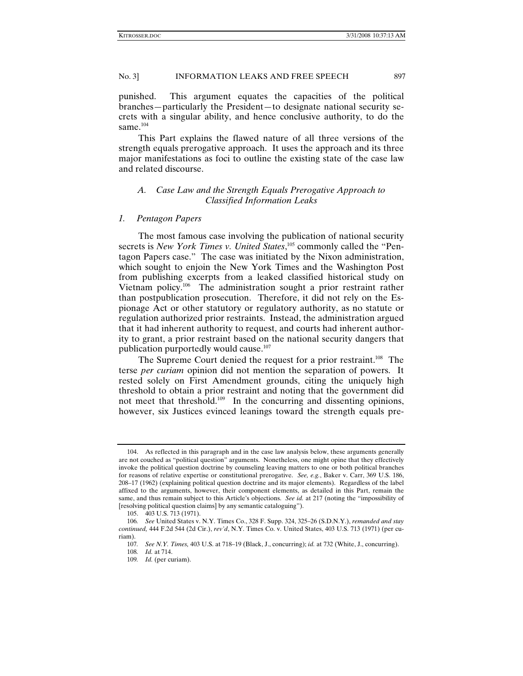punished. This argument equates the capacities of the political branches—particularly the President—to designate national security secrets with a singular ability, and hence conclusive authority, to do the same.<sup>104</sup>

This Part explains the flawed nature of all three versions of the strength equals prerogative approach. It uses the approach and its three major manifestations as foci to outline the existing state of the case law and related discourse.

# *A. Case Law and the Strength Equals Prerogative Approach to Classified Information Leaks*

#### *1. Pentagon Papers*

The most famous case involving the publication of national security secrets is *New York Times v. United States*,<sup>105</sup> commonly called the "Pentagon Papers case." The case was initiated by the Nixon administration, which sought to enjoin the New York Times and the Washington Post from publishing excerpts from a leaked classified historical study on Vietnam policy.106 The administration sought a prior restraint rather than postpublication prosecution. Therefore, it did not rely on the Espionage Act or other statutory or regulatory authority, as no statute or regulation authorized prior restraints. Instead, the administration argued that it had inherent authority to request, and courts had inherent authority to grant, a prior restraint based on the national security dangers that publication purportedly would cause.<sup>107</sup>

The Supreme Court denied the request for a prior restraint.<sup>108</sup> The terse *per curiam* opinion did not mention the separation of powers. It rested solely on First Amendment grounds, citing the uniquely high threshold to obtain a prior restraint and noting that the government did not meet that threshold.109 In the concurring and dissenting opinions, however, six Justices evinced leanings toward the strength equals pre-

 <sup>104.</sup> As reflected in this paragraph and in the case law analysis below, these arguments generally are not couched as "political question" arguments. Nonetheless, one might opine that they effectively invoke the political question doctrine by counseling leaving matters to one or both political branches for reasons of relative expertise or constitutional prerogative. *See, e.g.*, Baker v. Carr, 369 U.S. 186, 208–17 (1962) (explaining political question doctrine and its major elements). Regardless of the label affixed to the arguments, however, their component elements, as detailed in this Part, remain the same, and thus remain subject to this Article's objections. *See id.* at 217 (noting the "impossibility of [resolving political question claims] by any semantic cataloguing").

 <sup>105. 403</sup> U.S. 713 (1971).

<sup>106</sup>*. See* United States v. N.Y. Times Co., 328 F. Supp. 324, 325–26 (S.D.N.Y.), *remanded and stay continued,* 444 F.2d 544 (2d Cir.), *rev'd*, N.Y. Times Co. v. United States, 403 U.S. 713 (1971) (per curiam).

<sup>107</sup>*. See N.Y. Times,* 403 U.S. at 718–19 (Black, J., concurring); *id.* at 732 (White, J., concurring).

<sup>108</sup>*. Id.* at 714.

<sup>109</sup>*. Id.* (per curiam).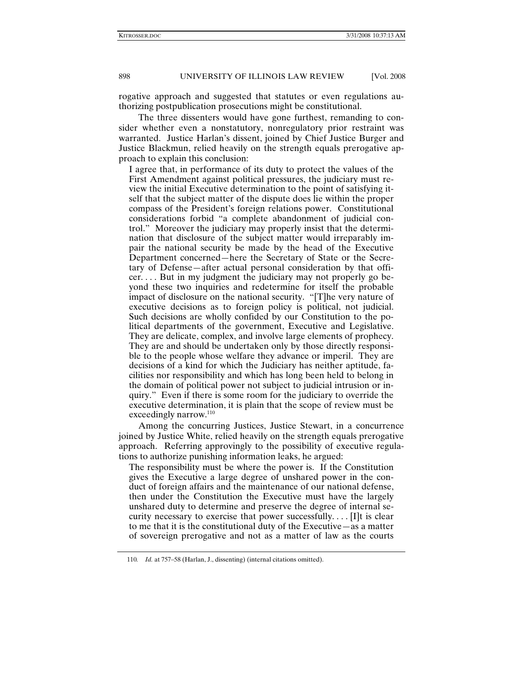rogative approach and suggested that statutes or even regulations authorizing postpublication prosecutions might be constitutional.

The three dissenters would have gone furthest, remanding to consider whether even a nonstatutory, nonregulatory prior restraint was warranted. Justice Harlan's dissent, joined by Chief Justice Burger and Justice Blackmun, relied heavily on the strength equals prerogative approach to explain this conclusion:

I agree that, in performance of its duty to protect the values of the First Amendment against political pressures, the judiciary must review the initial Executive determination to the point of satisfying itself that the subject matter of the dispute does lie within the proper compass of the President's foreign relations power. Constitutional considerations forbid "a complete abandonment of judicial control." Moreover the judiciary may properly insist that the determination that disclosure of the subject matter would irreparably impair the national security be made by the head of the Executive Department concerned—here the Secretary of State or the Secretary of Defense—after actual personal consideration by that officer. . . . But in my judgment the judiciary may not properly go beyond these two inquiries and redetermine for itself the probable impact of disclosure on the national security. "[T]he very nature of executive decisions as to foreign policy is political, not judicial. Such decisions are wholly confided by our Constitution to the political departments of the government, Executive and Legislative. They are delicate, complex, and involve large elements of prophecy. They are and should be undertaken only by those directly responsible to the people whose welfare they advance or imperil. They are decisions of a kind for which the Judiciary has neither aptitude, facilities nor responsibility and which has long been held to belong in the domain of political power not subject to judicial intrusion or inquiry." Even if there is some room for the judiciary to override the executive determination, it is plain that the scope of review must be exceedingly narrow.<sup>110</sup>

Among the concurring Justices, Justice Stewart, in a concurrence joined by Justice White, relied heavily on the strength equals prerogative approach. Referring approvingly to the possibility of executive regulations to authorize punishing information leaks, he argued:

The responsibility must be where the power is. If the Constitution gives the Executive a large degree of unshared power in the conduct of foreign affairs and the maintenance of our national defense, then under the Constitution the Executive must have the largely unshared duty to determine and preserve the degree of internal security necessary to exercise that power successfully. . . . [I]t is clear to me that it is the constitutional duty of the Executive—as a matter of sovereign prerogative and not as a matter of law as the courts

<sup>110</sup>*. Id.* at 757–58 (Harlan, J., dissenting) (internal citations omitted).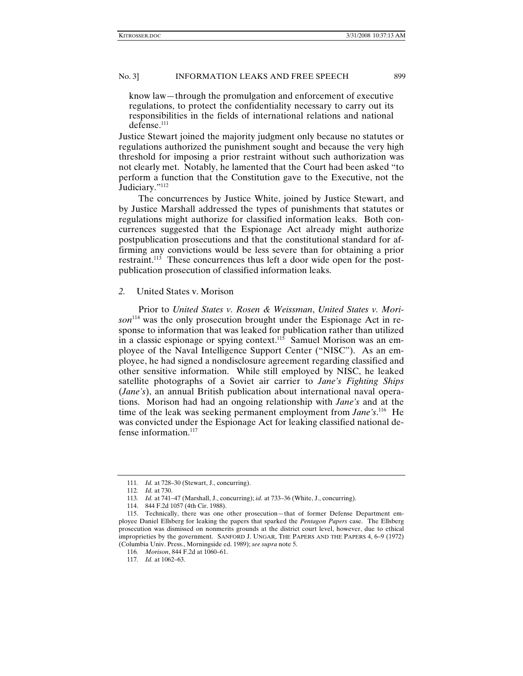know law—through the promulgation and enforcement of executive regulations, to protect the confidentiality necessary to carry out its responsibilities in the fields of international relations and national defense.<sup>111</sup>

Justice Stewart joined the majority judgment only because no statutes or regulations authorized the punishment sought and because the very high threshold for imposing a prior restraint without such authorization was not clearly met. Notably, he lamented that the Court had been asked "to perform a function that the Constitution gave to the Executive, not the Judiciary."<sup>112</sup>

The concurrences by Justice White, joined by Justice Stewart, and by Justice Marshall addressed the types of punishments that statutes or regulations might authorize for classified information leaks. Both concurrences suggested that the Espionage Act already might authorize postpublication prosecutions and that the constitutional standard for affirming any convictions would be less severe than for obtaining a prior restraint.<sup>113</sup> These concurrences thus left a door wide open for the postpublication prosecution of classified information leaks.

#### *2.* United States v. Morison

Prior to *United States v. Rosen & Weissman*, *United States v. Morison*114 was the only prosecution brought under the Espionage Act in response to information that was leaked for publication rather than utilized in a classic espionage or spying context.<sup>115</sup> Samuel Morison was an employee of the Naval Intelligence Support Center ("NISC"). As an employee, he had signed a nondisclosure agreement regarding classified and other sensitive information. While still employed by NISC, he leaked satellite photographs of a Soviet air carrier to *Jane's Fighting Ships*  (*Jane's*), an annual British publication about international naval operations. Morison had had an ongoing relationship with *Jane's* and at the time of the leak was seeking permanent employment from *Jane's*.<sup>116</sup> He was convicted under the Espionage Act for leaking classified national defense information.<sup>117</sup>

<sup>111</sup>*. Id.* at 728–30 (Stewart, J., concurring).

<sup>112</sup>*. Id.* at 730.

<sup>113</sup>*. Id.* at 741–47 (Marshall, J., concurring); *id.* at 733–36 (White, J., concurring).

 <sup>114. 844</sup> F.2d 1057 (4th Cir. 1988).

 <sup>115.</sup> Technically, there was one other prosecution—that of former Defense Department employee Daniel Ellsberg for leaking the papers that sparked the *Pentagon Papers* case. The Ellsberg prosecution was dismissed on nonmerits grounds at the district court level, however, due to ethical improprieties by the government. SANFORD J. UNGAR, THE PAPERS AND THE PAPERS 4, 6–9 (1972) (Columbia Univ. Press., Morningside ed. 1989); *see supra* note 5.

<sup>116</sup>*. Morison*, 844 F.2d at 1060–61.

<sup>117</sup>*. Id.* at 1062–63.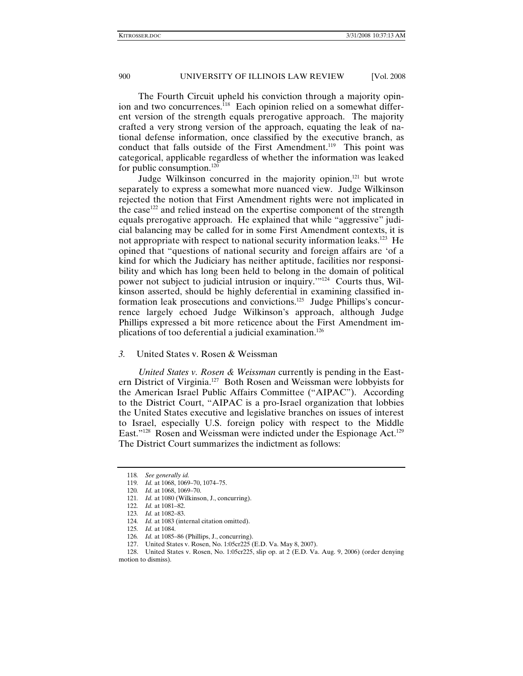The Fourth Circuit upheld his conviction through a majority opinion and two concurrences.<sup>118</sup> Each opinion relied on a somewhat different version of the strength equals prerogative approach. The majority crafted a very strong version of the approach, equating the leak of national defense information, once classified by the executive branch, as conduct that falls outside of the First Amendment.<sup>119</sup> This point was categorical, applicable regardless of whether the information was leaked for public consumption. $120$ 

Judge Wilkinson concurred in the majority opinion, $121$  but wrote separately to express a somewhat more nuanced view. Judge Wilkinson rejected the notion that First Amendment rights were not implicated in the case<sup>122</sup> and relied instead on the expertise component of the strength equals prerogative approach. He explained that while "aggressive" judicial balancing may be called for in some First Amendment contexts, it is not appropriate with respect to national security information leaks.<sup>123</sup> He opined that "questions of national security and foreign affairs are 'of a kind for which the Judiciary has neither aptitude, facilities nor responsibility and which has long been held to belong in the domain of political power not subject to judicial intrusion or inquiry.'"124Courts thus, Wilkinson asserted, should be highly deferential in examining classified information leak prosecutions and convictions.<sup>125</sup> Judge Phillips's concurrence largely echoed Judge Wilkinson's approach, although Judge Phillips expressed a bit more reticence about the First Amendment implications of too deferential a judicial examination.<sup>126</sup>

# *3.* United States v. Rosen & Weissman

*United States v. Rosen & Weissman* currently is pending in the Eastern District of Virginia.127 Both Rosen and Weissman were lobbyists for the American Israel Public Affairs Committee ("AIPAC"). According to the District Court, "AIPAC is a pro-Israel organization that lobbies the United States executive and legislative branches on issues of interest to Israel, especially U.S. foreign policy with respect to the Middle East."<sup>128</sup> Rosen and Weissman were indicted under the Espionage Act.<sup>129</sup> The District Court summarizes the indictment as follows:

<sup>118</sup>*. See generally id.*

<sup>119</sup>*. Id.* at 1068, 1069–70, 1074–75.

<sup>120</sup>*. Id.* at 1068, 1069–70.

<sup>121</sup>*. Id.* at 1080 (Wilkinson, J., concurring).

<sup>122</sup>*. Id.* at 1081–82.

<sup>123</sup>*. Id.* at 1082–83.

<sup>124</sup>*. Id.* at 1083 (internal citation omitted).

<sup>125</sup>*. Id.* at 1084.

<sup>126</sup>*. Id.* at 1085–86 (Phillips, J., concurring).

 <sup>127.</sup> United States v. Rosen, No. 1:05cr225 (E.D. Va. May 8, 2007).

 <sup>128.</sup> United States v. Rosen, No. 1:05cr225, slip op. at 2 (E.D. Va. Aug. 9, 2006) (order denying motion to dismiss).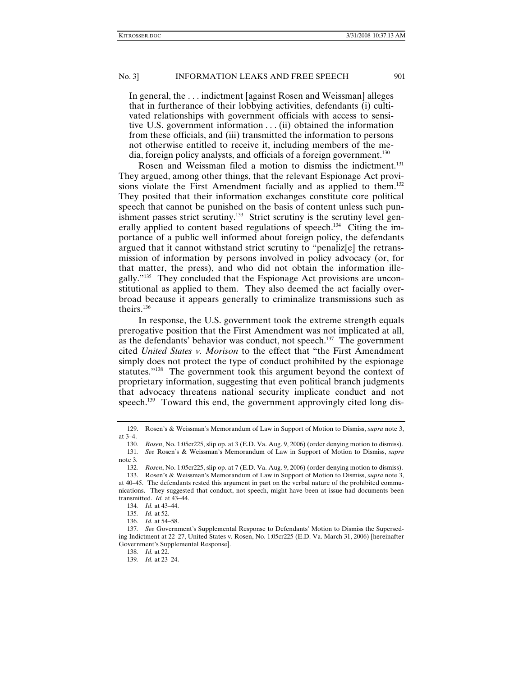In general, the . . . indictment [against Rosen and Weissman] alleges that in furtherance of their lobbying activities, defendants (i) cultivated relationships with government officials with access to sensitive U.S. government information  $\dots$  (ii) obtained the information from these officials, and (iii) transmitted the information to persons not otherwise entitled to receive it, including members of the media, foreign policy analysts, and officials of a foreign government.<sup>130</sup>

Rosen and Weissman filed a motion to dismiss the indictment.<sup>131</sup> They argued, among other things, that the relevant Espionage Act provisions violate the First Amendment facially and as applied to them.<sup>132</sup> They posited that their information exchanges constitute core political speech that cannot be punished on the basis of content unless such punishment passes strict scrutiny.<sup>133</sup> Strict scrutiny is the scrutiny level generally applied to content based regulations of speech.<sup>134</sup> Citing the importance of a public well informed about foreign policy, the defendants argued that it cannot withstand strict scrutiny to "penaliz[e] the retransmission of information by persons involved in policy advocacy (or, for that matter, the press), and who did not obtain the information illegally."135 They concluded that the Espionage Act provisions are unconstitutional as applied to them. They also deemed the act facially overbroad because it appears generally to criminalize transmissions such as theirs.136

In response, the U.S. government took the extreme strength equals prerogative position that the First Amendment was not implicated at all, as the defendants' behavior was conduct, not speech.<sup>137</sup> The government cited *United States v. Morison* to the effect that "the First Amendment simply does not protect the type of conduct prohibited by the espionage statutes."138 The government took this argument beyond the context of proprietary information, suggesting that even political branch judgments that advocacy threatens national security implicate conduct and not speech.<sup>139</sup> Toward this end, the government approvingly cited long dis-

 <sup>129.</sup> Rosen's & Weissman's Memorandum of Law in Support of Motion to Dismiss, *supra* note 3, at  $3-4$ .<br>130.

<sup>130</sup>*. Rosen*, No. 1:05cr225, slip op. at 3 (E.D. Va. Aug. 9, 2006) (order denying motion to dismiss). 131*. See* Rosen's & Weissman's Memorandum of Law in Support of Motion to Dismiss, *supra*  note 3.

<sup>132</sup>*. Rosen*, No. 1:05cr225, slip op. at 7 (E.D. Va. Aug. 9, 2006) (order denying motion to dismiss).

 <sup>133.</sup> Rosen's & Weissman's Memorandum of Law in Support of Motion to Dismiss, *supra* note 3, at 40–45. The defendants rested this argument in part on the verbal nature of the prohibited communications. They suggested that conduct, not speech, might have been at issue had documents been transmitted. *Id.* at 43–44.

<sup>134</sup>*. Id.* at 43–44.

<sup>135</sup>*. Id.* at 52.

<sup>136</sup>*. Id.* at 54–58.

<sup>137</sup>*. See* Government's Supplemental Response to Defendants' Motion to Dismiss the Superseding Indictment at 22–27, United States v. Rosen, No. 1:05cr225 (E.D. Va. March 31, 2006) [hereinafter Government's Supplemental Response].

<sup>138</sup>*. Id.* at 22.

<sup>139</sup>*. Id.* at 23–24.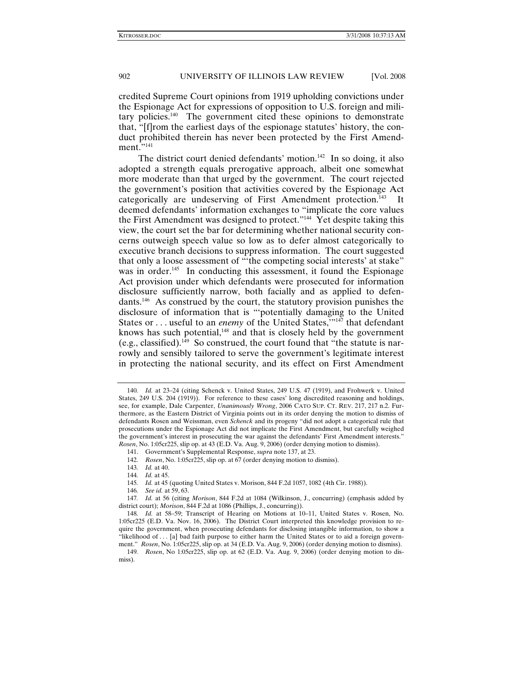credited Supreme Court opinions from 1919 upholding convictions under the Espionage Act for expressions of opposition to U.S. foreign and military policies.140 The government cited these opinions to demonstrate that, "[f]rom the earliest days of the espionage statutes' history, the conduct prohibited therein has never been protected by the First Amendment."<sup>141</sup>

The district court denied defendants' motion.<sup>142</sup> In so doing, it also adopted a strength equals prerogative approach, albeit one somewhat more moderate than that urged by the government. The court rejected the government's position that activities covered by the Espionage Act categorically are undeserving of First Amendment protection.<sup>143</sup> It deemed defendants' information exchanges to "implicate the core values the First Amendment was designed to protect."<sup>144</sup> Yet despite taking this view, the court set the bar for determining whether national security concerns outweigh speech value so low as to defer almost categorically to executive branch decisions to suppress information. The court suggested that only a loose assessment of "'the competing social interests' at stake" was in order.<sup>145</sup> In conducting this assessment, it found the Espionage Act provision under which defendants were prosecuted for information disclosure sufficiently narrow, both facially and as applied to defendants.146 As construed by the court, the statutory provision punishes the disclosure of information that is "'potentially damaging to the United States or . . . useful to an *enemy* of the United States,  $m<sub>147</sub>$  that defendant knows has such potential, $148$  and that is closely held by the government (e.g., classified).<sup>149</sup> So construed, the court found that "the statute is narrowly and sensibly tailored to serve the government's legitimate interest in protecting the national security, and its effect on First Amendment

145*. Id.* at 45 (quoting United States v. Morison, 844 F.2d 1057, 1082 (4th Cir. 1988)).

<sup>140</sup>*. Id.* at 23–24 (citing Schenck v. United States, 249 U.S. 47 (1919), and Frohwerk v. United States, 249 U.S. 204 (1919)). For reference to these cases' long discredited reasoning and holdings, see, for example, Dale Carpenter, *Unanimously Wrong*, 2006 CATO SUP. CT. REV. 217, 217 n.2. Furthermore, as the Eastern District of Virginia points out in its order denying the motion to dismiss of defendants Rosen and Weissman, even *Schenck* and its progeny "did not adopt a categorical rule that prosecutions under the Espionage Act did not implicate the First Amendment, but carefully weighed the government's interest in prosecuting the war against the defendants' First Amendment interests." *Rosen*, No. 1:05cr225, slip op. at 43 (E.D. Va. Aug. 9, 2006) (order denying motion to dismiss).

 <sup>141.</sup> Government's Supplemental Response, *supra* note 137, at 23.

<sup>142</sup>*. Rosen*, No. 1:05cr225, slip op. at 67 (order denying motion to dismiss).

<sup>143</sup>*. Id.* at 40.

<sup>144</sup>*. Id.* at 45.

<sup>146</sup>*. See id.* at 59, 63.

<sup>147</sup>*. Id.* at 56 (citing *Morison*, 844 F.2d at 1084 (Wilkinson, J., concurring) (emphasis added by district court); *Morison*, 844 F.2d at 1086 (Phillips, J., concurring)).

<sup>148</sup>*. Id.* at 58–59; Transcript of Hearing on Motions at 10–11, United States v. Rosen, No. 1:05cr225 (E.D. Va. Nov. 16, 2006). The District Court interpreted this knowledge provision to require the government, when prosecuting defendants for disclosing intangible information, to show a "likelihood of . . . [a] bad faith purpose to either harm the United States or to aid a foreign government." *Rosen*, No. 1:05cr225, slip op. at 34 (E.D. Va. Aug. 9, 2006) (order denying motion to dismiss).

<sup>149</sup>*. Rosen*, No 1:05cr225, slip op. at 62 (E.D. Va. Aug. 9, 2006) (order denying motion to dismiss).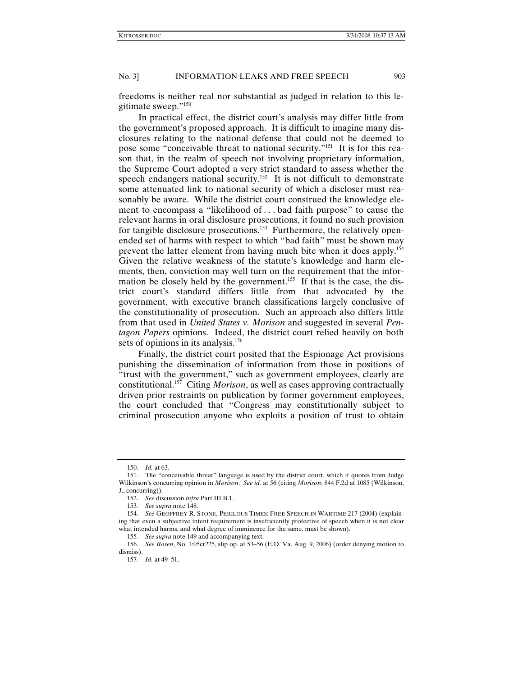freedoms is neither real nor substantial as judged in relation to this legitimate sweep."150

In practical effect, the district court's analysis may differ little from the government's proposed approach. It is difficult to imagine many disclosures relating to the national defense that could not be deemed to pose some "conceivable threat to national security."151 It is for this reason that, in the realm of speech not involving proprietary information, the Supreme Court adopted a very strict standard to assess whether the speech endangers national security.<sup>152</sup> It is not difficult to demonstrate some attenuated link to national security of which a discloser must reasonably be aware. While the district court construed the knowledge element to encompass a "likelihood of . . . bad faith purpose" to cause the relevant harms in oral disclosure prosecutions, it found no such provision for tangible disclosure prosecutions.<sup>153</sup> Furthermore, the relatively openended set of harms with respect to which "bad faith" must be shown may prevent the latter element from having much bite when it does apply.154 Given the relative weakness of the statute's knowledge and harm elements, then, conviction may well turn on the requirement that the information be closely held by the government.<sup>155</sup> If that is the case, the district court's standard differs little from that advocated by the government, with executive branch classifications largely conclusive of the constitutionality of prosecution. Such an approach also differs little from that used in *United States v. Morison* and suggested in several *Pentagon Papers* opinions. Indeed, the district court relied heavily on both sets of opinions in its analysis.<sup>156</sup>

Finally, the district court posited that the Espionage Act provisions punishing the dissemination of information from those in positions of "trust with the government," such as government employees, clearly are constitutional.157 Citing *Morison*, as well as cases approving contractually driven prior restraints on publication by former government employees, the court concluded that "Congress may constitutionally subject to criminal prosecution anyone who exploits a position of trust to obtain

<sup>150</sup>*. Id.* at 63.

 <sup>151.</sup> The "conceivable threat" language is used by the district court, which it quotes from Judge Wilkinson's concurring opinion in *Morison*. *See id.* at 56 (citing *Morison*, 844 F.2d at 1085 (Wilkinson, J., concurring)).

<sup>152</sup>*. See* discussion *infra* Part III.B.1.

<sup>153</sup>*. See supra* note 148.

<sup>154</sup>*. See* GEOFFREY R. STONE, PERILOUS TIMES: FREE SPEECH IN WARTIME 217 (2004) (explaining that even a subjective intent requirement is insufficiently protective of speech when it is not clear what intended harms, and what degree of imminence for the same, must be shown).

<sup>155</sup>*. See supra* note 149 and accompanying text.

<sup>156</sup>*. See Rosen*, No. 1:05cr225, slip op. at 53–56 (E.D. Va. Aug. 9, 2006) (order denying motion to dismiss).

<sup>157</sup>*. Id.* at 49–51.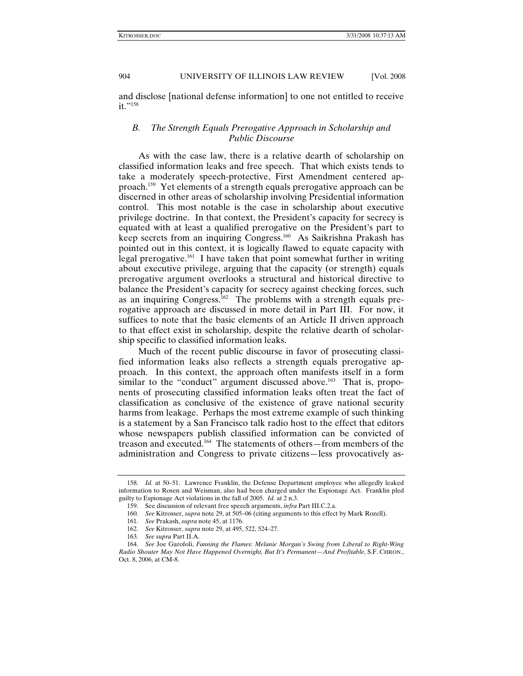and disclose [national defense information] to one not entitled to receive  $it. "158"$ 

# *B. The Strength Equals Prerogative Approach in Scholarship and Public Discourse*

As with the case law, there is a relative dearth of scholarship on classified information leaks and free speech. That which exists tends to take a moderately speech-protective, First Amendment centered approach.159 Yet elements of a strength equals prerogative approach can be discerned in other areas of scholarship involving Presidential information control. This most notable is the case in scholarship about executive privilege doctrine. In that context, the President's capacity for secrecy is equated with at least a qualified prerogative on the President's part to keep secrets from an inquiring Congress.<sup>160</sup> As Saikrishna Prakash has pointed out in this context, it is logically flawed to equate capacity with legal prerogative.<sup>161</sup> I have taken that point somewhat further in writing about executive privilege, arguing that the capacity (or strength) equals prerogative argument overlooks a structural and historical directive to balance the President's capacity for secrecy against checking forces, such as an inquiring Congress.<sup>162</sup> The problems with a strength equals prerogative approach are discussed in more detail in Part III. For now, it suffices to note that the basic elements of an Article II driven approach to that effect exist in scholarship, despite the relative dearth of scholarship specific to classified information leaks.

Much of the recent public discourse in favor of prosecuting classified information leaks also reflects a strength equals prerogative approach. In this context, the approach often manifests itself in a form similar to the "conduct" argument discussed above.<sup>163</sup> That is, proponents of prosecuting classified information leaks often treat the fact of classification as conclusive of the existence of grave national security harms from leakage. Perhaps the most extreme example of such thinking is a statement by a San Francisco talk radio host to the effect that editors whose newspapers publish classified information can be convicted of treason and executed.164 The statements of others—from members of the administration and Congress to private citizens—less provocatively as-

<sup>158</sup>*. Id.* at 50–51. Lawrence Franklin, the Defense Department employee who allegedly leaked information to Rosen and Weisman, also had been charged under the Espionage Act. Franklin pled guilty to Espionage Act violations in the fall of 2005. *Id.* at 2 n.3.

 <sup>159.</sup> See discussion of relevant free speech arguments, *infra* Part III.C.2.a.

<sup>160</sup>*. See* Kitrosser, *supra* note 29, at 505–06 (citing arguments to this effect by Mark Rozell).

<sup>161</sup>*. See* Prakash, *supra* note 45, at 1176.

<sup>162</sup>*. See* Kitrosser, *supra* note 29, at 495, 522, 524–27.

<sup>163</sup>*. See supra* Part II.A.

<sup>164</sup>*. See* Joe Garofoli, *Fanning the Flames: Melanie Morgan's Swing from Liberal to Right-Wing Radio Shouter May Not Have Happened Overnight, But It's Permanent—And Profitable*, S.F. CHRON., Oct. 8, 2006, at CM-8.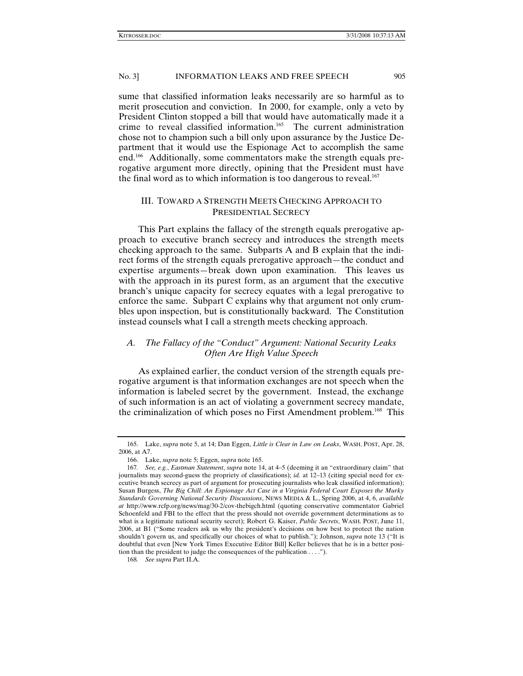sume that classified information leaks necessarily are so harmful as to merit prosecution and conviction. In 2000, for example, only a veto by President Clinton stopped a bill that would have automatically made it a crime to reveal classified information.<sup>165</sup> The current administration chose not to champion such a bill only upon assurance by the Justice Department that it would use the Espionage Act to accomplish the same end.166 Additionally, some commentators make the strength equals prerogative argument more directly, opining that the President must have the final word as to which information is too dangerous to reveal.<sup>167</sup>

# III. TOWARD A STRENGTH MEETS CHECKING APPROACH TO PRESIDENTIAL SECRECY

This Part explains the fallacy of the strength equals prerogative approach to executive branch secrecy and introduces the strength meets checking approach to the same. Subparts A and B explain that the indirect forms of the strength equals prerogative approach—the conduct and expertise arguments—break down upon examination. This leaves us with the approach in its purest form, as an argument that the executive branch's unique capacity for secrecy equates with a legal prerogative to enforce the same. Subpart C explains why that argument not only crumbles upon inspection, but is constitutionally backward. The Constitution instead counsels what I call a strength meets checking approach.

# *A. The Fallacy of the "Conduct" Argument: National Security Leaks Often Are High Value Speech*

As explained earlier, the conduct version of the strength equals prerogative argument is that information exchanges are not speech when the information is labeled secret by the government. Instead, the exchange of such information is an act of violating a government secrecy mandate, the criminalization of which poses no First Amendment problem.<sup>168</sup> This

 <sup>165.</sup> Lake, *supra* note 5, at 14; Dan Eggen, *Little is Clear in Law on Leaks*, WASH. POST, Apr. 28, 2006, at A7.

 <sup>166.</sup> Lake, *supra* note 5; Eggen, *supra* note 165.

<sup>167</sup>*. See, e.g.*, *Eastman Statement*, *supra* note 14, at 4–5 (deeming it an "extraordinary claim" that journalists may second-guess the propriety of classifications); *id.* at 12-13 (citing special need for executive branch secrecy as part of argument for prosecuting journalists who leak classified information); Susan Burgess, *The Big Chill: An Espionage Act Case in a Virginia Federal Court Exposes the Murky Standards Governing National Security Discussions*, NEWS MEDIA & L., Spring 2006, at 4, 6, *available at* http://www.rcfp.org/news/mag/30-2/cov-thebigch.html (quoting conservative commentator Gabriel Schoenfeld and FBI to the effect that the press should not override government determinations as to what is a legitimate national security secret); Robert G. Kaiser, *Public Secrets*, WASH. POST, June 11, 2006, at B1 ("Some readers ask us why the president's decisions on how best to protect the nation shouldn't govern us, and specifically our choices of what to publish."); Johnson, *supra* note 13 ("It is doubtful that even [New York Times Executive Editor Bill] Keller believes that he is in a better position than the president to judge the consequences of the publication . . . .").

<sup>168</sup>*. See supra* Part II.A.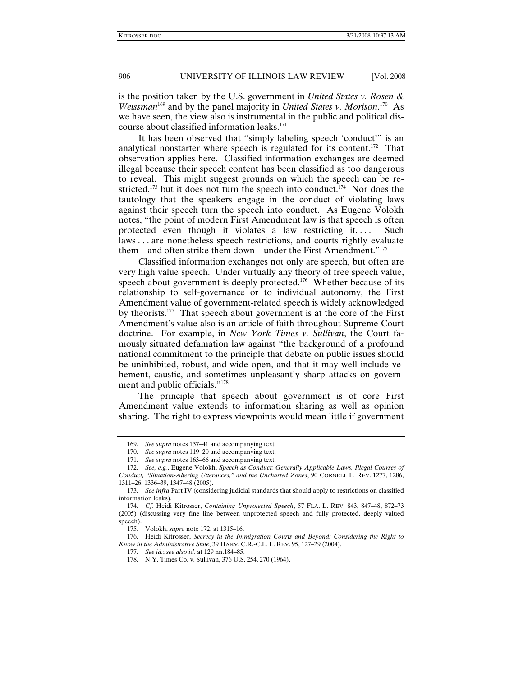is the position taken by the U.S. government in *United States v. Rosen &*  Weissman<sup>169</sup> and by the panel majority in *United States v. Morison*.<sup>170</sup> As we have seen, the view also is instrumental in the public and political discourse about classified information leaks.<sup>171</sup>

It has been observed that "simply labeling speech 'conduct'" is an analytical nonstarter where speech is regulated for its content.172 That observation applies here. Classified information exchanges are deemed illegal because their speech content has been classified as too dangerous to reveal. This might suggest grounds on which the speech can be restricted, $173$  but it does not turn the speech into conduct. $174$  Nor does the tautology that the speakers engage in the conduct of violating laws against their speech turn the speech into conduct. As Eugene Volokh notes, "the point of modern First Amendment law is that speech is often protected even though it violates a law restricting it.... Such laws . . . are nonetheless speech restrictions, and courts rightly evaluate them—and often strike them down—under the First Amendment."<sup>175</sup>

Classified information exchanges not only are speech, but often are very high value speech. Under virtually any theory of free speech value, speech about government is deeply protected.<sup>176</sup> Whether because of its relationship to self-governance or to individual autonomy, the First Amendment value of government-related speech is widely acknowledged by theorists.177 That speech about government is at the core of the First Amendment's value also is an article of faith throughout Supreme Court doctrine. For example, in *New York Times v. Sullivan*, the Court famously situated defamation law against "the background of a profound national commitment to the principle that debate on public issues should be uninhibited, robust, and wide open, and that it may well include vehement, caustic, and sometimes unpleasantly sharp attacks on government and public officials."178

The principle that speech about government is of core First Amendment value extends to information sharing as well as opinion sharing. The right to express viewpoints would mean little if government

<sup>169</sup>*. See supra* notes 137–41 and accompanying text.

<sup>170</sup>*. See supra* notes 119–20 and accompanying text.

<sup>171</sup>*. See supra* notes 163–66 and accompanying text.

<sup>172</sup>*. See, e.g.*, Eugene Volokh, *Speech as Conduct: Generally Applicable Laws, Illegal Courses of Conduct, "Situation-Altering Utterances," and the Uncharted Zones*, 90 CORNELL L. REV. 1277, 1286, 1311–26, 1336–39, 1347–48 (2005).

<sup>173</sup>*. See infra* Part IV (considering judicial standards that should apply to restrictions on classified information leaks).

<sup>174</sup>*. Cf.* Heidi Kitrosser, *Containing Unprotected Speech*, 57 FLA. L. REV. 843, 847–48, 872–73 (2005) (discussing very fine line between unprotected speech and fully protected, deeply valued speech).

 <sup>175.</sup> Volokh, *supra* note 172, at 1315–16.

 <sup>176.</sup> Heidi Kitrosser, *Secrecy in the Immigration Courts and Beyond: Considering the Right to Know in the Administrative State*, 39 HARV. C.R.-C.L. L. REV. 95, 127–29 (2004).

<sup>177</sup>*. See id.*; *see also id.* at 129 nn.184–85.

 <sup>178.</sup> N.Y. Times Co. v. Sullivan, 376 U.S. 254, 270 (1964).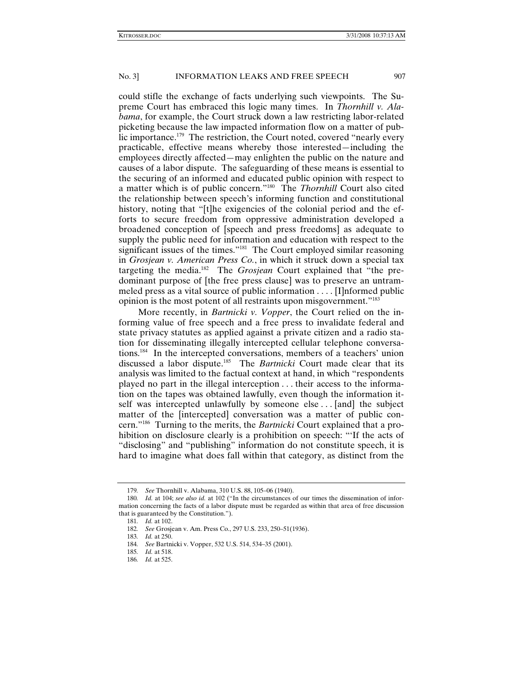could stifle the exchange of facts underlying such viewpoints. The Supreme Court has embraced this logic many times. In *Thornhill v. Alabama*, for example, the Court struck down a law restricting labor-related picketing because the law impacted information flow on a matter of public importance.<sup>179</sup> The restriction, the Court noted, covered "nearly every practicable, effective means whereby those interested—including the employees directly affected—may enlighten the public on the nature and causes of a labor dispute. The safeguarding of these means is essential to the securing of an informed and educated public opinion with respect to a matter which is of public concern."180 The *Thornhill* Court also cited the relationship between speech's informing function and constitutional history, noting that "[t]he exigencies of the colonial period and the efforts to secure freedom from oppressive administration developed a broadened conception of [speech and press freedoms] as adequate to supply the public need for information and education with respect to the significant issues of the times."<sup>181</sup> The Court employed similar reasoning in *Grosjean v. American Press Co.*, in which it struck down a special tax targeting the media.182 The *Grosjean* Court explained that "the predominant purpose of [the free press clause] was to preserve an untrammeled press as a vital source of public information . . . . [I]nformed public opinion is the most potent of all restraints upon misgovernment."183

More recently, in *Bartnicki v. Vopper*, the Court relied on the informing value of free speech and a free press to invalidate federal and state privacy statutes as applied against a private citizen and a radio station for disseminating illegally intercepted cellular telephone conversations.184 In the intercepted conversations, members of a teachers' union discussed a labor dispute.185 The *Bartnicki* Court made clear that its analysis was limited to the factual context at hand, in which "respondents played no part in the illegal interception . . . their access to the information on the tapes was obtained lawfully, even though the information itself was intercepted unlawfully by someone else ... [and] the subject matter of the [intercepted] conversation was a matter of public concern."186 Turning to the merits, the *Bartnicki* Court explained that a prohibition on disclosure clearly is a prohibition on speech: "'If the acts of "disclosing" and "publishing" information do not constitute speech, it is hard to imagine what does fall within that category, as distinct from the

<sup>179</sup>*. See* Thornhill v. Alabama, 310 U.S. 88, 105–06 (1940).

<sup>180</sup>*. Id.* at 104; *see also id.* at 102 ("In the circumstances of our times the dissemination of information concerning the facts of a labor dispute must be regarded as within that area of free discussion that is guaranteed by the Constitution.").

<sup>181</sup>*. Id.* at 102.

<sup>182</sup>*. See* Grosjean v. Am. Press Co., 297 U.S. 233, 250–51(1936).

<sup>183</sup>*. Id.* at 250.

<sup>184</sup>*. See* Bartnicki v. Vopper, 532 U.S. 514, 534–35 (2001).

<sup>185</sup>*. Id.* at 518.

<sup>186</sup>*. Id.* at 525.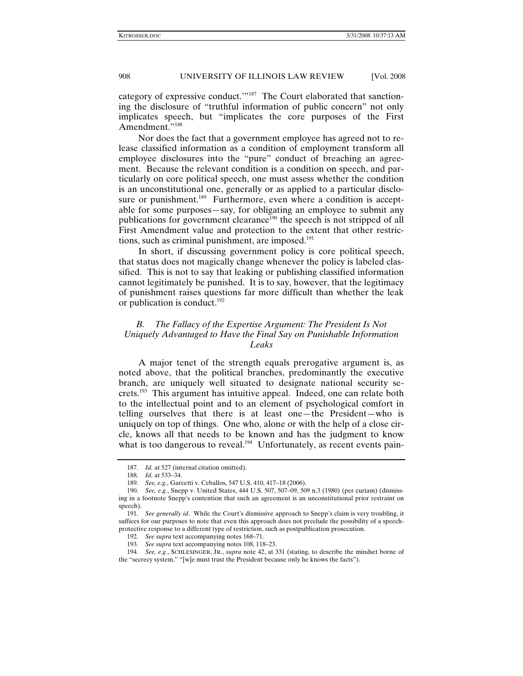category of expressive conduct.'"187 The Court elaborated that sanctioning the disclosure of "truthful information of public concern" not only implicates speech, but "implicates the core purposes of the First Amendment."<sup>188</sup>

Nor does the fact that a government employee has agreed not to release classified information as a condition of employment transform all employee disclosures into the "pure" conduct of breaching an agreement. Because the relevant condition is a condition on speech, and particularly on core political speech, one must assess whether the condition is an unconstitutional one, generally or as applied to a particular disclosure or punishment.<sup>189</sup> Furthermore, even where a condition is acceptable for some purposes—say, for obligating an employee to submit any publications for government clearance<sup>190</sup> the speech is not stripped of all First Amendment value and protection to the extent that other restrictions, such as criminal punishment, are imposed. $191$ 

In short, if discussing government policy is core political speech, that status does not magically change whenever the policy is labeled classified. This is not to say that leaking or publishing classified information cannot legitimately be punished. It is to say, however, that the legitimacy of punishment raises questions far more difficult than whether the leak or publication is conduct.<sup>192</sup>

# *B. The Fallacy of the Expertise Argument: The President Is Not Uniquely Advantaged to Have the Final Say on Punishable Information Leaks*

A major tenet of the strength equals prerogative argument is, as noted above, that the political branches, predominantly the executive branch, are uniquely well situated to designate national security secrets.<sup>193</sup> This argument has intuitive appeal. Indeed, one can relate both to the intellectual point and to an element of psychological comfort in telling ourselves that there is at least one—the President—who is uniquely on top of things. One who, alone or with the help of a close circle, knows all that needs to be known and has the judgment to know what is too dangerous to reveal.<sup>194</sup> Unfortunately, as recent events pain-

<sup>187</sup>*. Id.* at 527 (internal citation omitted).

<sup>188</sup>*. Id.* at 533–34. 189*. See, e.g.*, Garcetti v. Ceballos, 547 U.S. 410, 417–18 (2006).

<sup>190</sup>*. See, e.g.*, Snepp v. United States, 444 U.S. 507, 507–09, 509 n.3 (1980) (per curiam) (dismissing in a footnote Snepp's contention that such an agreement is an unconstitutional prior restraint on speech).

<sup>191</sup>*. See generally id*. While the Court's dismissive approach to Snepp's claim is very troubling, it suffices for our purposes to note that even this approach does not preclude the possibility of a speechprotective response to a different type of restriction, such as postpublication prosecution.

<sup>192</sup>*. See supra* text accompanying notes 168–71.

<sup>193</sup>*. See supra* text accompanying notes 108, 118–23.

<sup>194</sup>*. See, e.g.*, SCHLESINGER, JR., *supra* note 42, at 331 (stating, to describe the mindset borne of the "secrecy system," "[w]e must trust the President because only he knows the facts").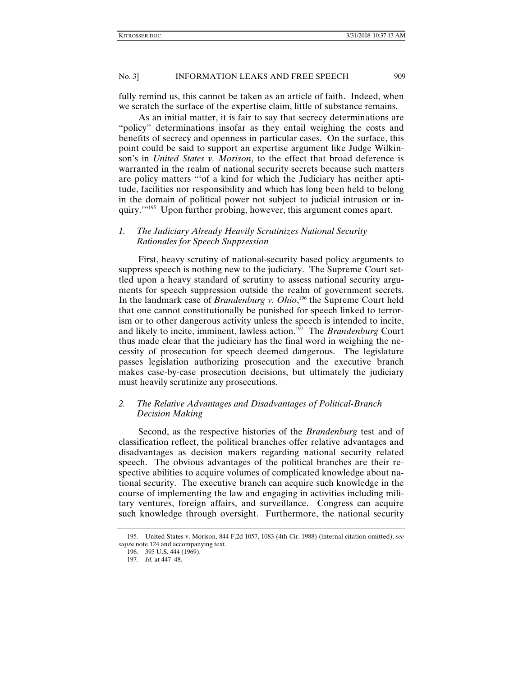fully remind us, this cannot be taken as an article of faith. Indeed, when we scratch the surface of the expertise claim, little of substance remains.

As an initial matter, it is fair to say that secrecy determinations are "policy" determinations insofar as they entail weighing the costs and benefits of secrecy and openness in particular cases. On the surface, this point could be said to support an expertise argument like Judge Wilkinson's in *United States v. Morison*, to the effect that broad deference is warranted in the realm of national security secrets because such matters are policy matters "'of a kind for which the Judiciary has neither aptitude, facilities nor responsibility and which has long been held to belong in the domain of political power not subject to judicial intrusion or inquiry.'"195Upon further probing, however, this argument comes apart.

# *1. The Judiciary Already Heavily Scrutinizes National Security Rationales for Speech Suppression*

First, heavy scrutiny of national-security based policy arguments to suppress speech is nothing new to the judiciary. The Supreme Court settled upon a heavy standard of scrutiny to assess national security arguments for speech suppression outside the realm of government secrets. In the landmark case of *Brandenburg v. Ohio*, 196 the Supreme Court held that one cannot constitutionally be punished for speech linked to terrorism or to other dangerous activity unless the speech is intended to incite, and likely to incite, imminent, lawless action.<sup>197</sup> The *Brandenburg* Court thus made clear that the judiciary has the final word in weighing the necessity of prosecution for speech deemed dangerous. The legislature passes legislation authorizing prosecution and the executive branch makes case-by-case prosecution decisions, but ultimately the judiciary must heavily scrutinize any prosecutions.

# *2. The Relative Advantages and Disadvantages of Political-Branch Decision Making*

Second, as the respective histories of the *Brandenburg* test and of classification reflect, the political branches offer relative advantages and disadvantages as decision makers regarding national security related speech. The obvious advantages of the political branches are their respective abilities to acquire volumes of complicated knowledge about national security. The executive branch can acquire such knowledge in the course of implementing the law and engaging in activities including military ventures, foreign affairs, and surveillance. Congress can acquire such knowledge through oversight. Furthermore, the national security

<sup>195</sup>*.* United States v. Morison, 844 F.2d 1057, 1083 (4th Cir. 1988) (internal citation omitted); *see supra* note 124 and accompanying text.

 <sup>196. 395</sup> U.S. 444 (1969).

<sup>197</sup>*. Id.* at 447–48.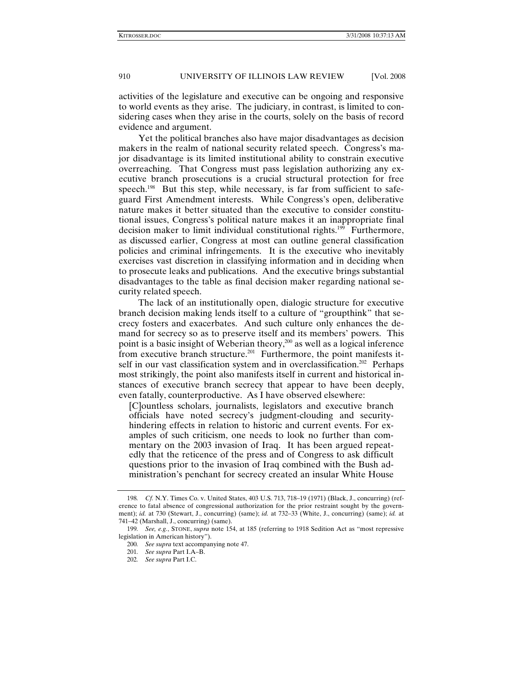activities of the legislature and executive can be ongoing and responsive to world events as they arise. The judiciary, in contrast, is limited to considering cases when they arise in the courts, solely on the basis of record evidence and argument.

Yet the political branches also have major disadvantages as decision makers in the realm of national security related speech. Congress's major disadvantage is its limited institutional ability to constrain executive overreaching. That Congress must pass legislation authorizing any executive branch prosecutions is a crucial structural protection for free speech.<sup>198</sup> But this step, while necessary, is far from sufficient to safeguard First Amendment interests. While Congress's open, deliberative nature makes it better situated than the executive to consider constitutional issues, Congress's political nature makes it an inappropriate final decision maker to limit individual constitutional rights.<sup>199</sup> Furthermore, as discussed earlier, Congress at most can outline general classification policies and criminal infringements. It is the executive who inevitably exercises vast discretion in classifying information and in deciding when to prosecute leaks and publications. And the executive brings substantial disadvantages to the table as final decision maker regarding national security related speech.

The lack of an institutionally open, dialogic structure for executive branch decision making lends itself to a culture of "groupthink" that secrecy fosters and exacerbates. And such culture only enhances the demand for secrecy so as to preserve itself and its members' powers. This point is a basic insight of Weberian theory, $200$  as well as a logical inference from executive branch structure.<sup>201</sup> Furthermore, the point manifests itself in our vast classification system and in overclassification.<sup>202</sup> Perhaps most strikingly, the point also manifests itself in current and historical instances of executive branch secrecy that appear to have been deeply, even fatally, counterproductive. As I have observed elsewhere:

[C]ountless scholars, journalists, legislators and executive branch officials have noted secrecy's judgment-clouding and securityhindering effects in relation to historic and current events. For examples of such criticism, one needs to look no further than commentary on the 2003 invasion of Iraq. It has been argued repeatedly that the reticence of the press and of Congress to ask difficult questions prior to the invasion of Iraq combined with the Bush administration's penchant for secrecy created an insular White House

<sup>198</sup>*. Cf.* N.Y. Times Co. v. United States, 403 U.S. 713, 718–19 (1971) (Black, J., concurring) (reference to fatal absence of congressional authorization for the prior restraint sought by the government); *id.* at 730 (Stewart, J., concurring) (same); *id.* at 732–33 (White, J., concurring) (same); *id.* at 741–42 (Marshall, J., concurring) (same).

<sup>199</sup>*. See, e.g.*, STONE, *supra* note 154, at 185 (referring to 1918 Sedition Act as "most repressive legislation in American history").

<sup>200</sup>*. See supra* text accompanying note 47.

<sup>201</sup>*. See supra* Part I.A–B.

<sup>202</sup>*. See supra* Part I.C.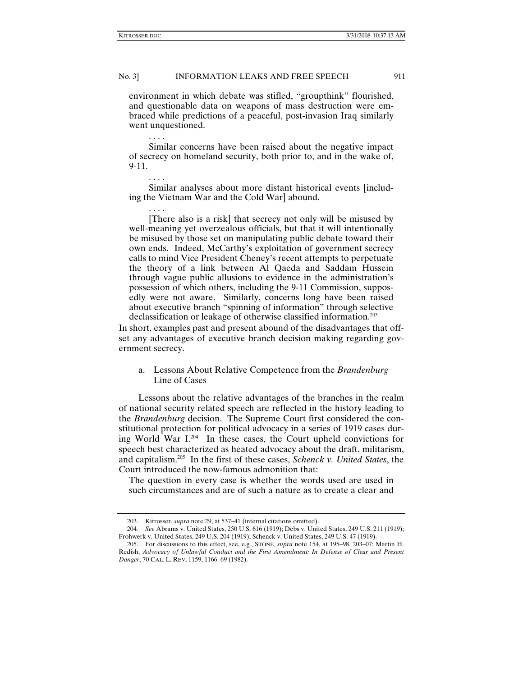. . . .

. . . .

. . . .

## No. 3] INFORMATION LEAKS AND FREE SPEECH 911

environment in which debate was stifled, "groupthink" flourished, and questionable data on weapons of mass destruction were embraced while predictions of a peaceful, post-invasion Iraq similarly went unquestioned.

Similar concerns have been raised about the negative impact of secrecy on homeland security, both prior to, and in the wake of, 9-11.

Similar analyses about more distant historical events [including the Vietnam War and the Cold War] abound.

[There also is a risk] that secrecy not only will be misused by well-meaning yet overzealous officials, but that it will intentionally be misused by those set on manipulating public debate toward their own ends. Indeed, McCarthy's exploitation of government secrecy calls to mind Vice President Cheney's recent attempts to perpetuate the theory of a link between Al Qaeda and Saddam Hussein through vague public allusions to evidence in the administration's possession of which others, including the 9-11 Commission, supposedly were not aware. Similarly, concerns long have been raised about executive branch "spinning of information" through selective declassification or leakage of otherwise classified information.203

In short, examples past and present abound of the disadvantages that offset any advantages of executive branch decision making regarding government secrecy.

a. Lessons About Relative Competence from the *Brandenburg* Line of Cases

Lessons about the relative advantages of the branches in the realm of national security related speech are reflected in the history leading to the *Brandenburg* decision. The Supreme Court first considered the constitutional protection for political advocacy in a series of 1919 cases during World War I.204 In these cases, the Court upheld convictions for speech best characterized as heated advocacy about the draft, militarism, and capitalism.205 In the first of these cases, *Schenck v. United States*, the Court introduced the now-famous admonition that:

The question in every case is whether the words used are used in such circumstances and are of such a nature as to create a clear and

 <sup>203.</sup> Kitrosser, *supra* note 29, at 537–41 (internal citations omitted).

<sup>204</sup>*. See* Abrams v. United States, 250 U.S. 616 (1919); Debs v. United States, 249 U.S. 211 (1919); Frohwerk v. United States, 249 U.S. 204 (1919); Schenck v. United States, 249 U.S. 47 (1919).

 <sup>205.</sup> For discussions to this effect, see, e.g*.*, STONE, *supra* note 154, at 195–98, 203–07; Martin H. Redish, *Advocacy of Unlawful Conduct and the First Amendment: In Defense of Clear and Present Danger*, 70 CAL. L. REV. 1159, 1166–69 (1982).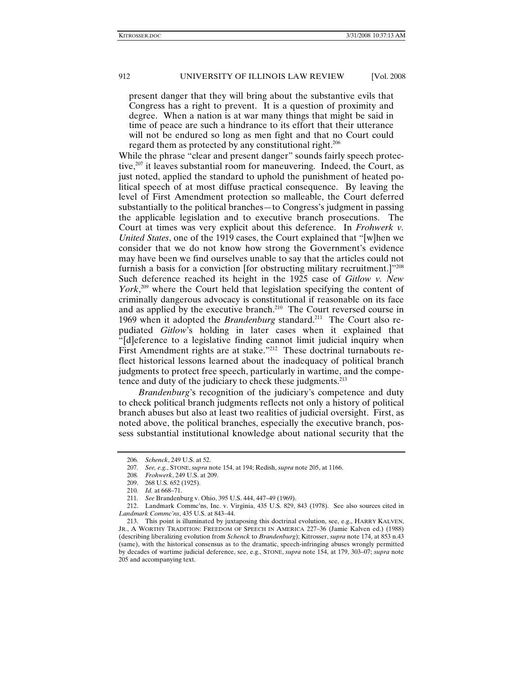present danger that they will bring about the substantive evils that Congress has a right to prevent. It is a question of proximity and degree. When a nation is at war many things that might be said in time of peace are such a hindrance to its effort that their utterance will not be endured so long as men fight and that no Court could regard them as protected by any constitutional right.206

While the phrase "clear and present danger" sounds fairly speech protective, $207$  it leaves substantial room for maneuvering. Indeed, the Court, as just noted, applied the standard to uphold the punishment of heated political speech of at most diffuse practical consequence. By leaving the level of First Amendment protection so malleable, the Court deferred substantially to the political branches—to Congress's judgment in passing the applicable legislation and to executive branch prosecutions. The Court at times was very explicit about this deference. In *Frohwerk v. United States*, one of the 1919 cases, the Court explained that "[w]hen we consider that we do not know how strong the Government's evidence may have been we find ourselves unable to say that the articles could not furnish a basis for a conviction [for obstructing military recruitment.]"<sup>208</sup> Such deference reached its height in the 1925 case of *Gitlow v. New*  York,<sup>209</sup> where the Court held that legislation specifying the content of criminally dangerous advocacy is constitutional if reasonable on its face and as applied by the executive branch.<sup>210</sup> The Court reversed course in 1969 when it adopted the *Brandenburg* standard.<sup>211</sup> The Court also repudiated *Gitlow*'s holding in later cases when it explained that "[d]eference to a legislative finding cannot limit judicial inquiry when First Amendment rights are at stake."<sup>212</sup> These doctrinal turnabouts reflect historical lessons learned about the inadequacy of political branch judgments to protect free speech, particularly in wartime, and the competence and duty of the judiciary to check these judgments.213

*Brandenburg*'s recognition of the judiciary's competence and duty to check political branch judgments reflects not only a history of political branch abuses but also at least two realities of judicial oversight. First, as noted above, the political branches, especially the executive branch, possess substantial institutional knowledge about national security that the

<sup>206</sup>*. Schenck*, 249 U.S. at 52.

<sup>207</sup>*. See, e.g.*, STONE, *supra* note 154, at 194; Redish, *supra* note 205, at 1166.

<sup>208</sup>*. Frohwerk*, 249 U.S. at 209.

 <sup>209. 268</sup> U.S. 652 (1925).

<sup>210</sup>*. Id.* at 668–71.

<sup>211</sup>*. See* Brandenburg v. Ohio, 395 U.S. 444, 447–49 (1969).

 <sup>212.</sup> Landmark Commc'ns, Inc. v. Virginia, 435 U.S. 829, 843 (1978). See also sources cited in *Landmark Commc'ns*, 435 U.S. at 843–44.

 <sup>213.</sup> This point is illuminated by juxtaposing this doctrinal evolution, see, e.g., HARRY KALVEN, JR., A WORTHY TRADITION: FREEDOM OF SPEECH IN AMERICA 227–36 (Jamie Kalven ed.) (1988) (describing liberalizing evolution from *Schenck* to *Brandenburg*); Kitrosser, *supra* note 174, at 853 n.43 (same), with the historical consensus as to the dramatic, speech-infringing abuses wrongly permitted by decades of wartime judicial deference, see, e.g., STONE, *supra* note 154, at 179, 303–07; *supra* note 205 and accompanying text.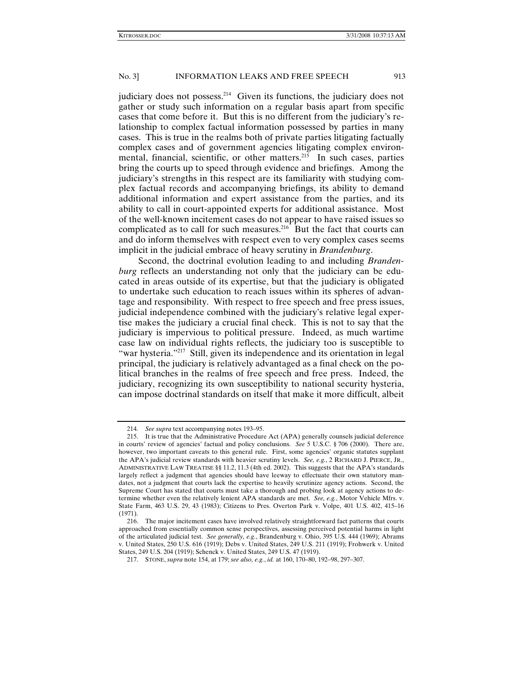judiciary does not possess.<sup>214</sup> Given its functions, the judiciary does not gather or study such information on a regular basis apart from specific cases that come before it. But this is no different from the judiciary's relationship to complex factual information possessed by parties in many cases. This is true in the realms both of private parties litigating factually complex cases and of government agencies litigating complex environmental, financial, scientific, or other matters. $215$  In such cases, parties bring the courts up to speed through evidence and briefings. Among the judiciary's strengths in this respect are its familiarity with studying complex factual records and accompanying briefings, its ability to demand additional information and expert assistance from the parties, and its ability to call in court-appointed experts for additional assistance. Most of the well-known incitement cases do not appear to have raised issues so complicated as to call for such measures. $216$  But the fact that courts can and do inform themselves with respect even to very complex cases seems implicit in the judicial embrace of heavy scrutiny in *Brandenburg*.

Second, the doctrinal evolution leading to and including *Brandenburg* reflects an understanding not only that the judiciary can be educated in areas outside of its expertise, but that the judiciary is obligated to undertake such education to reach issues within its spheres of advantage and responsibility. With respect to free speech and free press issues, judicial independence combined with the judiciary's relative legal expertise makes the judiciary a crucial final check. This is not to say that the judiciary is impervious to political pressure. Indeed, as much wartime case law on individual rights reflects, the judiciary too is susceptible to "war hysteria."217 Still, given its independence and its orientation in legal principal, the judiciary is relatively advantaged as a final check on the political branches in the realms of free speech and free press. Indeed, the judiciary, recognizing its own susceptibility to national security hysteria, can impose doctrinal standards on itself that make it more difficult, albeit

<sup>214</sup>*. See supra* text accompanying notes 193–95.

 <sup>215.</sup> It is true that the Administrative Procedure Act (APA) generally counsels judicial deference in courts' review of agencies' factual and policy conclusions. *See* 5 U.S.C. § 706 (2000). There are, however, two important caveats to this general rule. First, some agencies' organic statutes supplant the APA's judicial review standards with heavier scrutiny levels. *See, e.g.*, 2 RICHARD J. PIERCE, JR., ADMINISTRATIVE LAW TREATISE §§ 11.2, 11.3 (4th ed. 2002). This suggests that the APA's standards largely reflect a judgment that agencies should have leeway to effectuate their own statutory mandates, not a judgment that courts lack the expertise to heavily scrutinize agency actions. Second, the Supreme Court has stated that courts must take a thorough and probing look at agency actions to determine whether even the relatively lenient APA standards are met. *See, e.g.*, Motor Vehicle Mfrs. v. State Farm, 463 U.S. 29, 43 (1983); Citizens to Pres. Overton Park v. Volpe, 401 U.S. 402, 415–16 (1971).

 <sup>216.</sup> The major incitement cases have involved relatively straightforward fact patterns that courts approached from essentially common sense perspectives, assessing perceived potential harms in light of the articulated judicial test. *See generally, e.g.*, Brandenburg v. Ohio, 395 U.S. 444 (1969); Abrams v. United States, 250 U.S. 616 (1919); Debs v. United States, 249 U.S. 211 (1919); Frohwerk v. United States, 249 U.S. 204 (1919); Schenck v. United States, 249 U.S. 47 (1919).

 <sup>217.</sup> STONE, *supra* note 154, at 179; *see also, e.g.*, *id.* at 160, 170–80, 192–98, 297–307.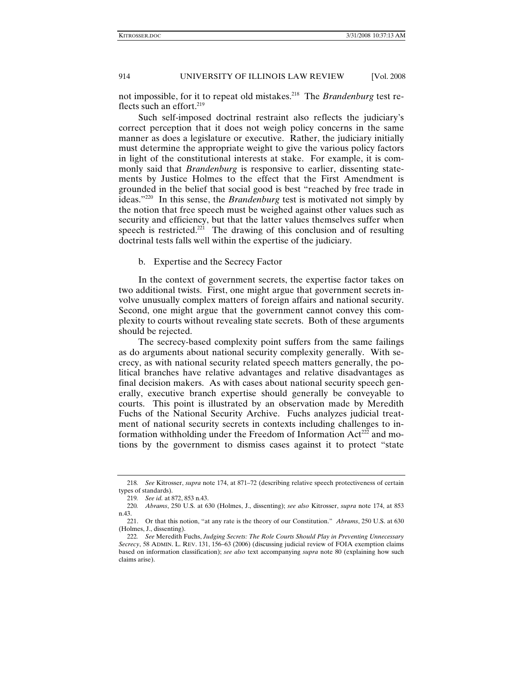not impossible, for it to repeat old mistakes.<sup>218</sup> The *Brandenburg* test reflects such an effort.<sup>219</sup>

Such self-imposed doctrinal restraint also reflects the judiciary's correct perception that it does not weigh policy concerns in the same manner as does a legislature or executive. Rather, the judiciary initially must determine the appropriate weight to give the various policy factors in light of the constitutional interests at stake. For example, it is commonly said that *Brandenburg* is responsive to earlier, dissenting statements by Justice Holmes to the effect that the First Amendment is grounded in the belief that social good is best "reached by free trade in ideas."220 In this sense, the *Brandenburg* test is motivated not simply by the notion that free speech must be weighed against other values such as security and efficiency, but that the latter values themselves suffer when speech is restricted.<sup>221</sup> The drawing of this conclusion and of resulting doctrinal tests falls well within the expertise of the judiciary.

# b. Expertise and the Secrecy Factor

In the context of government secrets, the expertise factor takes on two additional twists. First, one might argue that government secrets involve unusually complex matters of foreign affairs and national security. Second, one might argue that the government cannot convey this complexity to courts without revealing state secrets. Both of these arguments should be rejected.

The secrecy-based complexity point suffers from the same failings as do arguments about national security complexity generally. With secrecy, as with national security related speech matters generally, the political branches have relative advantages and relative disadvantages as final decision makers. As with cases about national security speech generally, executive branch expertise should generally be conveyable to courts. This point is illustrated by an observation made by Meredith Fuchs of the National Security Archive. Fuchs analyzes judicial treatment of national security secrets in contexts including challenges to information withholding under the Freedom of Information Act<sup>222</sup> and motions by the government to dismiss cases against it to protect "state

<sup>218</sup>*. See* Kitrosser, *supra* note 174, at 871–72 (describing relative speech protectiveness of certain types of standards).

<sup>219</sup>*. See id.* at 872, 853 n.43.

<sup>220</sup>*. Abrams*, 250 U.S. at 630 (Holmes, J., dissenting); *see also* Kitrosser, *supra* note 174, at 853 n.43.

 <sup>221.</sup> Or that this notion, "at any rate is the theory of our Constitution." *Abrams*, 250 U.S. at 630 (Holmes, J., dissenting).

<sup>222</sup>*. See* Meredith Fuchs, *Judging Secrets: The Role Courts Should Play in Preventing Unnecessary Secrecy*, 58 ADMIN. L. REV. 131, 156–63 (2006) (discussing judicial review of FOIA exemption claims based on information classification); *see also* text accompanying *supra* note 80 (explaining how such claims arise).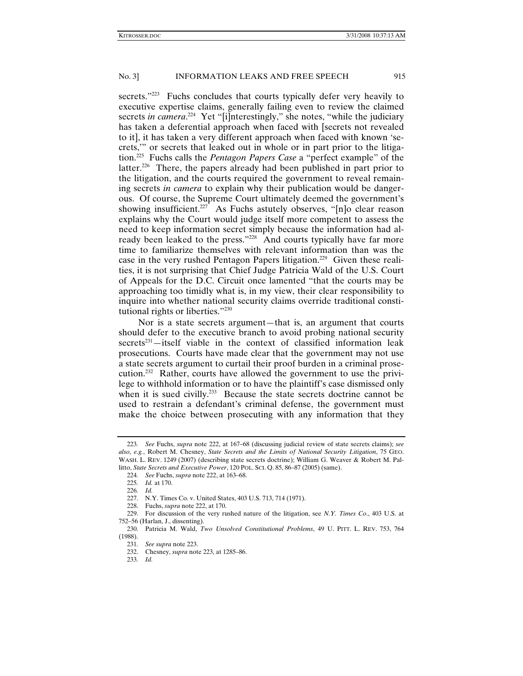secrets."<sup>223</sup> Fuchs concludes that courts typically defer very heavily to executive expertise claims, generally failing even to review the claimed secrets *in camera*.<sup>224</sup> Yet "[i]nterestingly," she notes, "while the judiciary has taken a deferential approach when faced with [secrets not revealed to it], it has taken a very different approach when faced with known 'secrets,'" or secrets that leaked out in whole or in part prior to the litigation.225 Fuchs calls the *Pentagon Papers Case* a "perfect example" of the latter.<sup>226</sup> There, the papers already had been published in part prior to the litigation, and the courts required the government to reveal remaining secrets *in camera* to explain why their publication would be dangerous. Of course, the Supreme Court ultimately deemed the government's showing insufficient.<sup>227</sup> As Fuchs astutely observes, " $[n]$ <sup>o</sup> clear reason explains why the Court would judge itself more competent to assess the need to keep information secret simply because the information had already been leaked to the press."<sup>228</sup> And courts typically have far more time to familiarize themselves with relevant information than was the case in the very rushed Pentagon Papers litigation.<sup>229</sup> Given these realities, it is not surprising that Chief Judge Patricia Wald of the U.S. Court of Appeals for the D.C. Circuit once lamented "that the courts may be approaching too timidly what is, in my view, their clear responsibility to inquire into whether national security claims override traditional constitutional rights or liberties."230

Nor is a state secrets argument—that is, an argument that courts should defer to the executive branch to avoid probing national security  $s$ ecrets<sup>231</sup>—itself viable in the context of classified information leak prosecutions. Courts have made clear that the government may not use a state secrets argument to curtail their proof burden in a criminal prosecution.232 Rather, courts have allowed the government to use the privilege to withhold information or to have the plaintiff's case dismissed only when it is sued civilly.<sup>233</sup> Because the state secrets doctrine cannot be used to restrain a defendant's criminal defense, the government must make the choice between prosecuting with any information that they

<sup>223</sup>*. See* Fuchs, *supra* note 222, at 167–68 (discussing judicial review of state secrets claims); *see also, e.g.*, Robert M. Chesney, *State Secrets and the Limits of National Security Litigation*, 75 GEO. WASH. L. REV. 1249 (2007) (describing state secrets doctrine); William G. Weaver & Robert M. Pallitto, *State Secrets and Executive Power*, 120 POL. SCI. Q. 85, 86–87 (2005) (same).

<sup>224</sup>*. See* Fuchs, *supra* note 222, at 163–68.

<sup>225</sup>*. Id.* at 170.

<sup>226</sup>*. Id.*

 <sup>227.</sup> N.Y. Times Co. v. United States, 403 U.S. 713, 714 (1971).

 <sup>228.</sup> Fuchs, *supra* note 222, at 170.

 <sup>229.</sup> For discussion of the very rushed nature of the litigation, see *N.Y. Times Co*., 403 U.S. at 752–56 (Harlan, J., dissenting).

 <sup>230.</sup> Patricia M. Wald, *Two Unsolved Constitutional Problems*, 49 U. PITT. L. REV. 753, 764 (1988).

<sup>231</sup>*. See supra* note 223.

 <sup>232.</sup> Chesney, *supra* note 223, at 1285–86.

<sup>233</sup>*. Id.*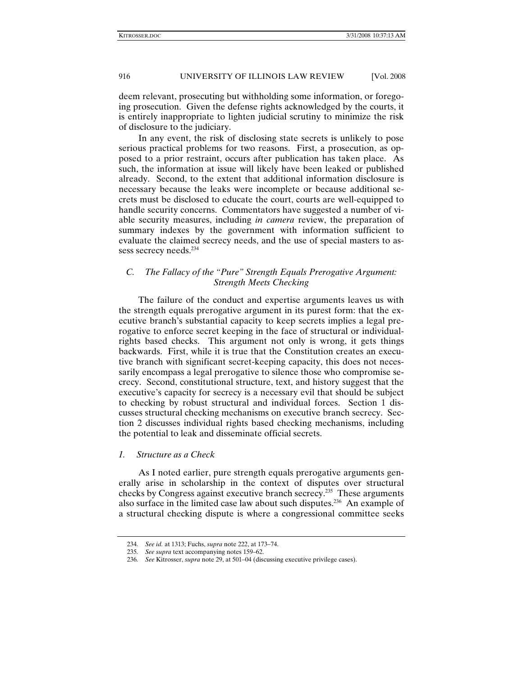deem relevant, prosecuting but withholding some information, or foregoing prosecution. Given the defense rights acknowledged by the courts, it is entirely inappropriate to lighten judicial scrutiny to minimize the risk of disclosure to the judiciary.

In any event, the risk of disclosing state secrets is unlikely to pose serious practical problems for two reasons. First, a prosecution, as opposed to a prior restraint, occurs after publication has taken place. As such, the information at issue will likely have been leaked or published already. Second, to the extent that additional information disclosure is necessary because the leaks were incomplete or because additional secrets must be disclosed to educate the court, courts are well-equipped to handle security concerns. Commentators have suggested a number of viable security measures, including *in camera* review, the preparation of summary indexes by the government with information sufficient to evaluate the claimed secrecy needs, and the use of special masters to assess secrecy needs.<sup>234</sup>

# *C. The Fallacy of the "Pure" Strength Equals Prerogative Argument: Strength Meets Checking*

The failure of the conduct and expertise arguments leaves us with the strength equals prerogative argument in its purest form: that the executive branch's substantial capacity to keep secrets implies a legal prerogative to enforce secret keeping in the face of structural or individualrights based checks. This argument not only is wrong, it gets things backwards. First, while it is true that the Constitution creates an executive branch with significant secret-keeping capacity, this does not necessarily encompass a legal prerogative to silence those who compromise secrecy. Second, constitutional structure, text, and history suggest that the executive's capacity for secrecy is a necessary evil that should be subject to checking by robust structural and individual forces. Section 1 discusses structural checking mechanisms on executive branch secrecy. Section 2 discusses individual rights based checking mechanisms, including the potential to leak and disseminate official secrets.

# *1. Structure as a Check*

As I noted earlier, pure strength equals prerogative arguments generally arise in scholarship in the context of disputes over structural checks by Congress against executive branch secrecy.235 These arguments also surface in the limited case law about such disputes.236 An example of a structural checking dispute is where a congressional committee seeks

<sup>234</sup>*. See id.* at 1313; Fuchs, *supra* note 222, at 173–74.

<sup>235</sup>*. See supra* text accompanying notes 159–62.

<sup>236</sup>*. See* Kitrosser, *supra* note 29, at 501–04 (discussing executive privilege cases).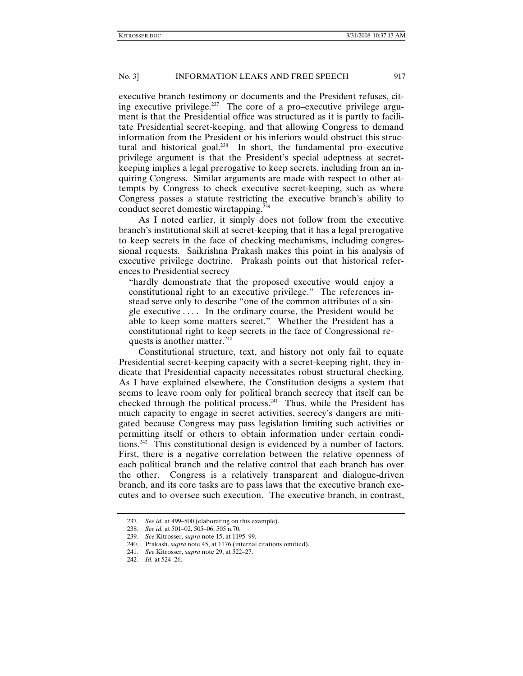executive branch testimony or documents and the President refuses, citing executive privilege.237 The core of a pro–executive privilege argument is that the Presidential office was structured as it is partly to facilitate Presidential secret-keeping, and that allowing Congress to demand information from the President or his inferiors would obstruct this structural and historical goal. $238$  In short, the fundamental pro–executive privilege argument is that the President's special adeptness at secretkeeping implies a legal prerogative to keep secrets, including from an inquiring Congress. Similar arguments are made with respect to other attempts by Congress to check executive secret-keeping, such as where Congress passes a statute restricting the executive branch's ability to conduct secret domestic wiretapping.239

As I noted earlier, it simply does not follow from the executive branch's institutional skill at secret-keeping that it has a legal prerogative to keep secrets in the face of checking mechanisms, including congressional requests. Saikrishna Prakash makes this point in his analysis of executive privilege doctrine. Prakash points out that historical references to Presidential secrecy

"hardly demonstrate that the proposed executive would enjoy a constitutional right to an executive privilege." The references instead serve only to describe "one of the common attributes of a single executive . . . . In the ordinary course, the President would be able to keep some matters secret." Whether the President has a constitutional right to keep secrets in the face of Congressional requests is another matter.240

Constitutional structure, text, and history not only fail to equate Presidential secret-keeping capacity with a secret-keeping right, they indicate that Presidential capacity necessitates robust structural checking. As I have explained elsewhere, the Constitution designs a system that seems to leave room only for political branch secrecy that itself can be checked through the political process.<sup>241</sup> Thus, while the President has much capacity to engage in secret activities, secrecy's dangers are mitigated because Congress may pass legislation limiting such activities or permitting itself or others to obtain information under certain conditions.242 This constitutional design is evidenced by a number of factors. First, there is a negative correlation between the relative openness of each political branch and the relative control that each branch has over the other. Congress is a relatively transparent and dialogue-driven branch, and its core tasks are to pass laws that the executive branch executes and to oversee such execution. The executive branch, in contrast,

<sup>237</sup>*. See id.* at 499–500 (elaborating on this example).

<sup>238</sup>*. See id.* at 501–02, 505–06, 505 n.70.

<sup>239</sup>*. See* Kitrosser, *supra* note 15, at 1195–99.

 <sup>240.</sup> Prakash, *supra* note 45, at 1176 (internal citations omitted).

<sup>241</sup>*. See* Kitrosser, *supra* note 29, at 522–27.

<sup>242</sup>*. Id.* at 524–26.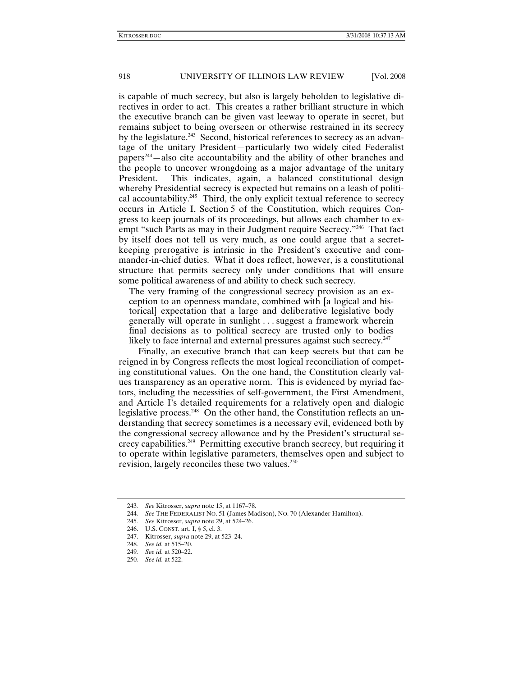is capable of much secrecy, but also is largely beholden to legislative directives in order to act. This creates a rather brilliant structure in which the executive branch can be given vast leeway to operate in secret, but remains subject to being overseen or otherwise restrained in its secrecy by the legislature.<sup>243</sup> Second, historical references to secrecy as an advantage of the unitary President—particularly two widely cited Federalist papers<sup>244</sup>—also cite accountability and the ability of other branches and the people to uncover wrongdoing as a major advantage of the unitary President. This indicates, again, a balanced constitutional design whereby Presidential secrecy is expected but remains on a leash of political accountability.<sup>245</sup> Third, the only explicit textual reference to secrecy occurs in Article I, Section 5 of the Constitution, which requires Congress to keep journals of its proceedings, but allows each chamber to exempt "such Parts as may in their Judgment require Secrecy."246 That fact by itself does not tell us very much, as one could argue that a secretkeeping prerogative is intrinsic in the President's executive and commander-in-chief duties. What it does reflect, however, is a constitutional structure that permits secrecy only under conditions that will ensure some political awareness of and ability to check such secrecy.

The very framing of the congressional secrecy provision as an exception to an openness mandate, combined with [a logical and historical] expectation that a large and deliberative legislative body generally will operate in sunlight . . . suggest a framework wherein final decisions as to political secrecy are trusted only to bodies likely to face internal and external pressures against such secrecy.<sup>247</sup>

Finally, an executive branch that can keep secrets but that can be reigned in by Congress reflects the most logical reconciliation of competing constitutional values. On the one hand, the Constitution clearly values transparency as an operative norm. This is evidenced by myriad factors, including the necessities of self-government, the First Amendment, and Article I's detailed requirements for a relatively open and dialogic legislative process.<sup>248</sup> On the other hand, the Constitution reflects an understanding that secrecy sometimes is a necessary evil, evidenced both by the congressional secrecy allowance and by the President's structural secrecy capabilities.249 Permitting executive branch secrecy, but requiring it to operate within legislative parameters, themselves open and subject to revision, largely reconciles these two values.250

<sup>243</sup>*. See* Kitrosser, *supra* note 15, at 1167–78.

<sup>244</sup>*. See* THE FEDERALIST NO. 51 (James Madison), NO. 70 (Alexander Hamilton).

<sup>245</sup>*. See* Kitrosser, *supra* note 29, at 524–26.

 <sup>246.</sup> U.S. CONST. art. I, § 5, cl. 3.

 <sup>247.</sup> Kitrosser, *supra* note 29, at 523–24.

<sup>248</sup>*. See id.* at 515–20.

<sup>249</sup>*. See id.* at 520–22.

<sup>250</sup>*. See id.* at 522.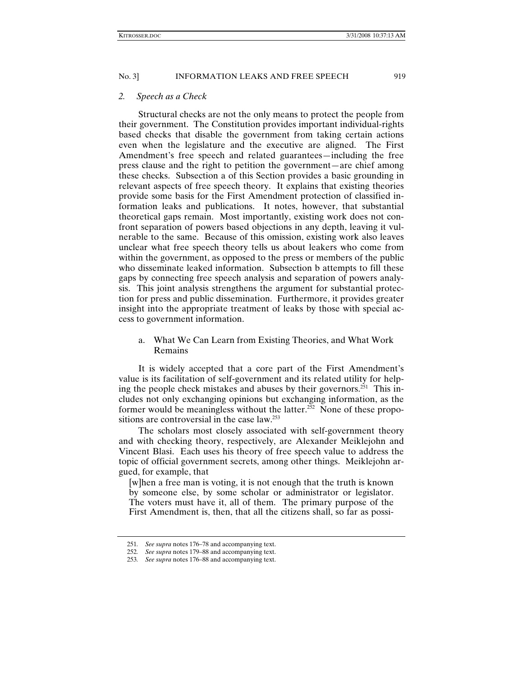#### *2. Speech as a Check*

Structural checks are not the only means to protect the people from their government. The Constitution provides important individual-rights based checks that disable the government from taking certain actions even when the legislature and the executive are aligned. The First Amendment's free speech and related guarantees—including the free press clause and the right to petition the government—are chief among these checks. Subsection a of this Section provides a basic grounding in relevant aspects of free speech theory. It explains that existing theories provide some basis for the First Amendment protection of classified information leaks and publications. It notes, however, that substantial theoretical gaps remain. Most importantly, existing work does not confront separation of powers based objections in any depth, leaving it vulnerable to the same. Because of this omission, existing work also leaves unclear what free speech theory tells us about leakers who come from within the government, as opposed to the press or members of the public who disseminate leaked information. Subsection b attempts to fill these gaps by connecting free speech analysis and separation of powers analysis. This joint analysis strengthens the argument for substantial protection for press and public dissemination. Furthermore, it provides greater insight into the appropriate treatment of leaks by those with special access to government information.

a. What We Can Learn from Existing Theories, and What Work Remains

It is widely accepted that a core part of the First Amendment's value is its facilitation of self-government and its related utility for helping the people check mistakes and abuses by their governors.<sup>251</sup> This includes not only exchanging opinions but exchanging information, as the former would be meaningless without the latter.<sup>252</sup> None of these propositions are controversial in the case law.<sup>253</sup>

The scholars most closely associated with self-government theory and with checking theory, respectively, are Alexander Meiklejohn and Vincent Blasi. Each uses his theory of free speech value to address the topic of official government secrets, among other things. Meiklejohn argued, for example, that

[w]hen a free man is voting, it is not enough that the truth is known by someone else, by some scholar or administrator or legislator. The voters must have it, all of them. The primary purpose of the First Amendment is, then, that all the citizens shall, so far as possi-

<sup>251</sup>*. See supra* notes 176–78 and accompanying text.

<sup>252</sup>*. See supra* notes 179–88 and accompanying text.

<sup>253</sup>*. See supra* notes 176–88 and accompanying text.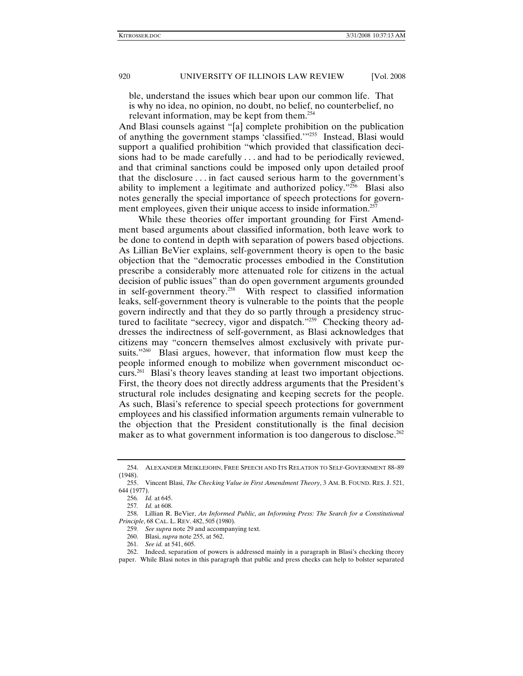ble, understand the issues which bear upon our common life. That is why no idea, no opinion, no doubt, no belief, no counterbelief, no relevant information, may be kept from them.254

And Blasi counsels against "[a] complete prohibition on the publication of anything the government stamps 'classified.'"255 Instead, Blasi would support a qualified prohibition "which provided that classification decisions had to be made carefully . . . and had to be periodically reviewed, and that criminal sanctions could be imposed only upon detailed proof that the disclosure . . . in fact caused serious harm to the government's ability to implement a legitimate and authorized policy. $256$  Blasi also notes generally the special importance of speech protections for government employees, given their unique access to inside information.<sup>257</sup>

While these theories offer important grounding for First Amendment based arguments about classified information, both leave work to be done to contend in depth with separation of powers based objections. As Lillian BeVier explains, self-government theory is open to the basic objection that the "democratic processes embodied in the Constitution prescribe a considerably more attenuated role for citizens in the actual decision of public issues" than do open government arguments grounded in self-government theory.<sup>258</sup> With respect to classified information leaks, self-government theory is vulnerable to the points that the people govern indirectly and that they do so partly through a presidency structured to facilitate "secrecy, vigor and dispatch."<sup>259</sup> Checking theory addresses the indirectness of self-government, as Blasi acknowledges that citizens may "concern themselves almost exclusively with private pursuits."<sup>260</sup> Blasi argues, however, that information flow must keep the people informed enough to mobilize when government misconduct occurs.261 Blasi's theory leaves standing at least two important objections. First, the theory does not directly address arguments that the President's structural role includes designating and keeping secrets for the people. As such, Blasi's reference to special speech protections for government employees and his classified information arguments remain vulnerable to the objection that the President constitutionally is the final decision maker as to what government information is too dangerous to disclose.<sup>262</sup>

 <sup>254.</sup> ALEXANDER MEIKLEJOHN, FREE SPEECH AND ITS RELATION TO SELF-GOVERNMENT 88–89 (1948).

 <sup>255.</sup> Vincent Blasi, *The Checking Value in First Amendment Theory*, 3 AM. B. FOUND. RES. J. 521, 644 (1977).

<sup>256</sup>*. Id.* at 645.

<sup>257</sup>*. Id.* at 608.

 <sup>258.</sup> Lillian R. BeVier, *An Informed Public, an Informing Press: The Search for a Constitutional Principle*, 68 CAL. L. REV. 482, 505 (1980).

<sup>259</sup>*. See supra* note 29 and accompanying text.

 <sup>260.</sup> Blasi, *supra* note 255, at 562.

<sup>261</sup>*. See id.* at 541, 605.

 <sup>262.</sup> Indeed, separation of powers is addressed mainly in a paragraph in Blasi's checking theory paper. While Blasi notes in this paragraph that public and press checks can help to bolster separated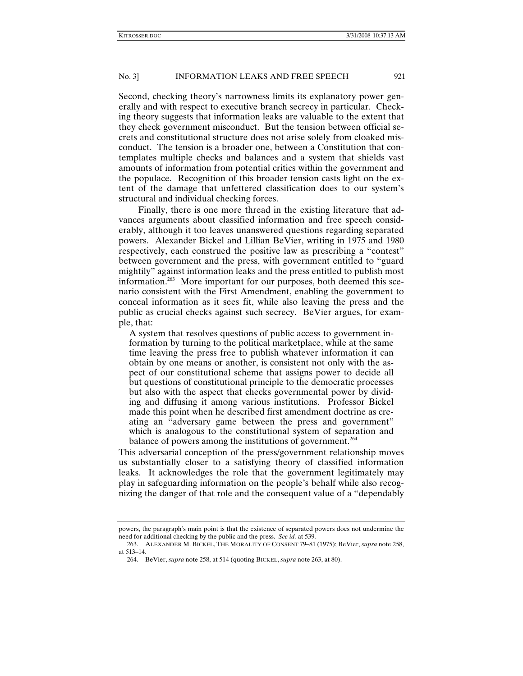Second, checking theory's narrowness limits its explanatory power generally and with respect to executive branch secrecy in particular. Checking theory suggests that information leaks are valuable to the extent that they check government misconduct. But the tension between official secrets and constitutional structure does not arise solely from cloaked misconduct. The tension is a broader one, between a Constitution that contemplates multiple checks and balances and a system that shields vast amounts of information from potential critics within the government and the populace. Recognition of this broader tension casts light on the extent of the damage that unfettered classification does to our system's structural and individual checking forces.

Finally, there is one more thread in the existing literature that advances arguments about classified information and free speech considerably, although it too leaves unanswered questions regarding separated powers. Alexander Bickel and Lillian BeVier, writing in 1975 and 1980 respectively, each construed the positive law as prescribing a "contest" between government and the press, with government entitled to "guard mightily" against information leaks and the press entitled to publish most information.<sup>263</sup> More important for our purposes, both deemed this scenario consistent with the First Amendment, enabling the government to conceal information as it sees fit, while also leaving the press and the public as crucial checks against such secrecy. BeVier argues, for example, that:

A system that resolves questions of public access to government information by turning to the political marketplace, while at the same time leaving the press free to publish whatever information it can obtain by one means or another, is consistent not only with the aspect of our constitutional scheme that assigns power to decide all but questions of constitutional principle to the democratic processes but also with the aspect that checks governmental power by dividing and diffusing it among various institutions. Professor Bickel made this point when he described first amendment doctrine as creating an "adversary game between the press and government" which is analogous to the constitutional system of separation and balance of powers among the institutions of government.<sup>264</sup>

This adversarial conception of the press/government relationship moves us substantially closer to a satisfying theory of classified information leaks. It acknowledges the role that the government legitimately may play in safeguarding information on the people's behalf while also recognizing the danger of that role and the consequent value of a "dependably

powers, the paragraph's main point is that the existence of separated powers does not undermine the need for additional checking by the public and the press. *See id.* at 539.

 <sup>263.</sup> ALEXANDER M. BICKEL, THE MORALITY OF CONSENT 79–81 (1975); BeVier, *supra* note 258, at 513–14.

 <sup>264.</sup> BeVier, *supra* note 258, at 514 (quoting BICKEL, *supra* note 263, at 80).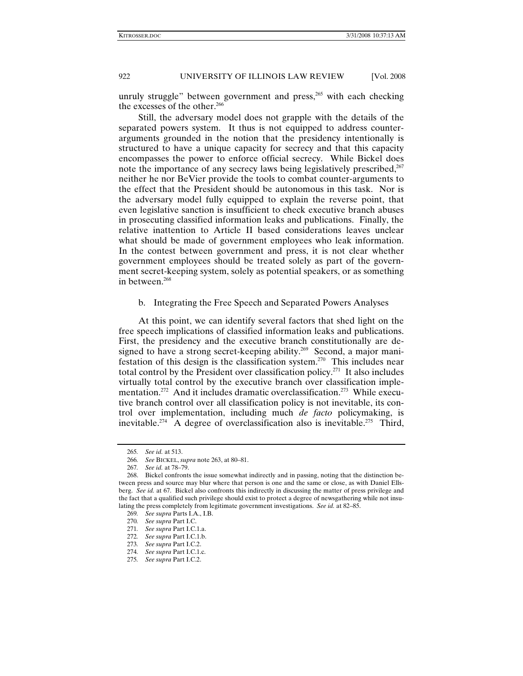unruly struggle" between government and press, $265$  with each checking the excesses of the other.<sup>266</sup>

Still, the adversary model does not grapple with the details of the separated powers system. It thus is not equipped to address counterarguments grounded in the notion that the presidency intentionally is structured to have a unique capacity for secrecy and that this capacity encompasses the power to enforce official secrecy. While Bickel does note the importance of any secrecy laws being legislatively prescribed, $267$ neither he nor BeVier provide the tools to combat counter-arguments to the effect that the President should be autonomous in this task. Nor is the adversary model fully equipped to explain the reverse point, that even legislative sanction is insufficient to check executive branch abuses in prosecuting classified information leaks and publications. Finally, the relative inattention to Article II based considerations leaves unclear what should be made of government employees who leak information. In the contest between government and press, it is not clear whether government employees should be treated solely as part of the government secret-keeping system, solely as potential speakers, or as something in between.<sup>268</sup>

# b. Integrating the Free Speech and Separated Powers Analyses

At this point, we can identify several factors that shed light on the free speech implications of classified information leaks and publications. First, the presidency and the executive branch constitutionally are designed to have a strong secret-keeping ability.<sup>269</sup> Second, a major manifestation of this design is the classification system.<sup>270</sup> This includes near total control by the President over classification policy.271 It also includes virtually total control by the executive branch over classification implementation.<sup>272</sup> And it includes dramatic overclassification.<sup>273</sup> While executive branch control over all classification policy is not inevitable, its control over implementation, including much *de facto* policymaking, is inevitable.<sup>274</sup> A degree of overclassification also is inevitable.<sup>275</sup> Third,

<sup>265</sup>*. See id.* at 513.

<sup>266</sup>*. See* BICKEL, *supra* note 263, at 80–81.

<sup>267</sup>*. See id.* at 78–79.

 <sup>268.</sup> Bickel confronts the issue somewhat indirectly and in passing, noting that the distinction between press and source may blur where that person is one and the same or close, as with Daniel Ellsberg. *See id.* at 67. Bickel also confronts this indirectly in discussing the matter of press privilege and the fact that a qualified such privilege should exist to protect a degree of newsgathering while not insulating the press completely from legitimate government investigations. *See id.* at 82–85.

<sup>269</sup>*. See supra* Parts I.A., I.B.

<sup>270</sup>*. See supra* Part I.C.

<sup>271</sup>*. See supra* Part I.C.1.a.

<sup>272</sup>*. See supra* Part I.C.1.b.

<sup>273</sup>*. See supra* Part I.C.2.

<sup>274</sup>*. See supra* Part I.C.1.c.

<sup>275</sup>*. See supra* Part I.C.2.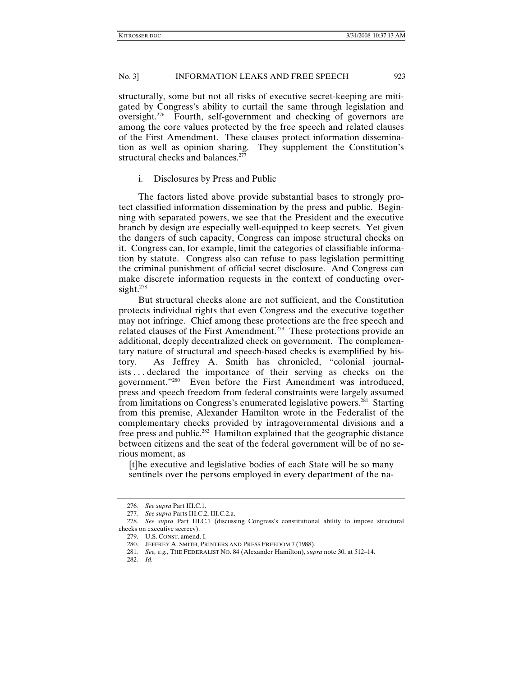structurally, some but not all risks of executive secret-keeping are mitigated by Congress's ability to curtail the same through legislation and oversight.276 Fourth, self-government and checking of governors are among the core values protected by the free speech and related clauses of the First Amendment. These clauses protect information dissemination as well as opinion sharing. They supplement the Constitution's structural checks and balances.<sup>277</sup>

#### i. Disclosures by Press and Public

The factors listed above provide substantial bases to strongly protect classified information dissemination by the press and public. Beginning with separated powers, we see that the President and the executive branch by design are especially well-equipped to keep secrets. Yet given the dangers of such capacity, Congress can impose structural checks on it. Congress can, for example, limit the categories of classifiable information by statute. Congress also can refuse to pass legislation permitting the criminal punishment of official secret disclosure. And Congress can make discrete information requests in the context of conducting oversight.<sup>278</sup>

But structural checks alone are not sufficient, and the Constitution protects individual rights that even Congress and the executive together may not infringe. Chief among these protections are the free speech and related clauses of the First Amendment.<sup>279</sup> These protections provide an additional, deeply decentralized check on government. The complementary nature of structural and speech-based checks is exemplified by history. As Jeffrey A. Smith has chronicled, "colonial journalists . . . declared the importance of their serving as checks on the government."280 Even before the First Amendment was introduced, press and speech freedom from federal constraints were largely assumed from limitations on Congress's enumerated legislative powers.<sup>281</sup> Starting from this premise, Alexander Hamilton wrote in the Federalist of the complementary checks provided by intragovernmental divisions and a free press and public.<sup>282</sup> Hamilton explained that the geographic distance between citizens and the seat of the federal government will be of no serious moment, as

[t]he executive and legislative bodies of each State will be so many sentinels over the persons employed in every department of the na-

<sup>276</sup>*. See supra* Part III.C.1.

<sup>277</sup>*. See supra* Parts III.C.2, III.C.2.a.

<sup>278</sup>*. See supra* Part III.C.1 (discussing Congress's constitutional ability to impose structural checks on executive secrecy).

 <sup>279.</sup> U.S. CONST. amend. I.

 <sup>280.</sup> JEFFREY A. SMITH, PRINTERS AND PRESS FREEDOM 7 (1988).

<sup>281</sup>*. See, e.g.*, THE FEDERALIST NO. 84 (Alexander Hamilton), *supra* note 30, at 512–14.

<sup>282</sup>*. Id.*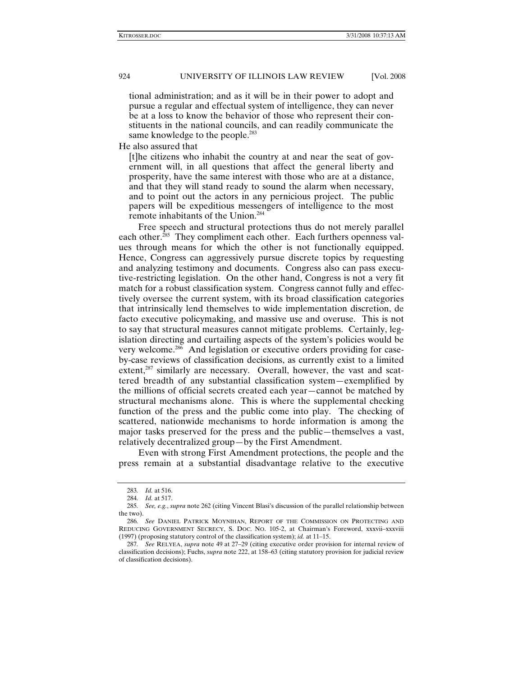tional administration; and as it will be in their power to adopt and pursue a regular and effectual system of intelligence, they can never be at a loss to know the behavior of those who represent their constituents in the national councils, and can readily communicate the same knowledge to the people.<sup>283</sup>

He also assured that

[t]he citizens who inhabit the country at and near the seat of government will, in all questions that affect the general liberty and prosperity, have the same interest with those who are at a distance, and that they will stand ready to sound the alarm when necessary, and to point out the actors in any pernicious project. The public papers will be expeditious messengers of intelligence to the most remote inhabitants of the Union.284

Free speech and structural protections thus do not merely parallel each other.<sup>285</sup> They compliment each other. Each furthers openness values through means for which the other is not functionally equipped. Hence, Congress can aggressively pursue discrete topics by requesting and analyzing testimony and documents. Congress also can pass executive-restricting legislation. On the other hand, Congress is not a very fit match for a robust classification system. Congress cannot fully and effectively oversee the current system, with its broad classification categories that intrinsically lend themselves to wide implementation discretion, de facto executive policymaking, and massive use and overuse. This is not to say that structural measures cannot mitigate problems. Certainly, legislation directing and curtailing aspects of the system's policies would be very welcome.286 And legislation or executive orders providing for caseby-case reviews of classification decisions, as currently exist to a limited extent,<sup>287</sup> similarly are necessary. Overall, however, the vast and scattered breadth of any substantial classification system—exemplified by the millions of official secrets created each year—cannot be matched by structural mechanisms alone. This is where the supplemental checking function of the press and the public come into play. The checking of scattered, nationwide mechanisms to horde information is among the major tasks preserved for the press and the public—themselves a vast, relatively decentralized group—by the First Amendment.

Even with strong First Amendment protections, the people and the press remain at a substantial disadvantage relative to the executive

<sup>283</sup>*. Id.* at 516.

<sup>284</sup>*. Id.* at 517.

<sup>285</sup>*. See, e.g.*, *supra* note 262 (citing Vincent Blasi's discussion of the parallel relationship between the two).

<sup>286</sup>*. See* DANIEL PATRICK MOYNIHAN, REPORT OF THE COMMISSION ON PROTECTING AND REDUCING GOVERNMENT SECRECY, S. DOC. NO. 105-2, at Chairman's Foreword, xxxvii–xxxviii (1997) (proposing statutory control of the classification system); *id.* at 11–15.

<sup>287</sup>*. See* RELYEA, *supra* note 49 at 27–29 (citing executive order provision for internal review of classification decisions); Fuchs, *supra* note 222, at 158–63 (citing statutory provision for judicial review of classification decisions).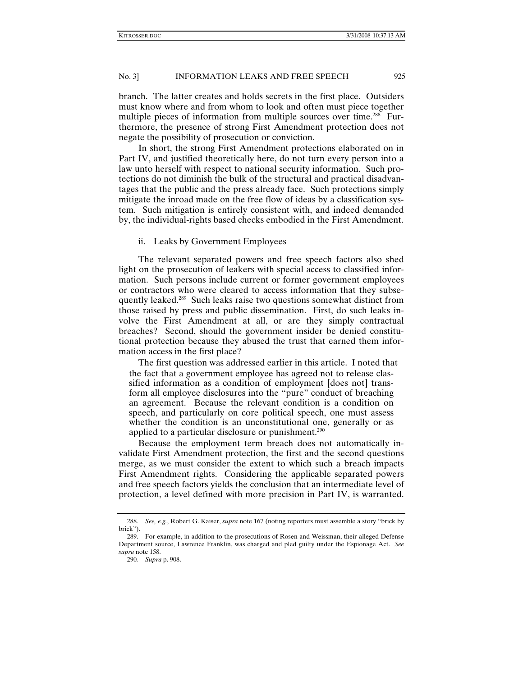branch. The latter creates and holds secrets in the first place. Outsiders must know where and from whom to look and often must piece together multiple pieces of information from multiple sources over time.<sup>288</sup> Furthermore, the presence of strong First Amendment protection does not negate the possibility of prosecution or conviction.

In short, the strong First Amendment protections elaborated on in Part IV, and justified theoretically here, do not turn every person into a law unto herself with respect to national security information. Such protections do not diminish the bulk of the structural and practical disadvantages that the public and the press already face. Such protections simply mitigate the inroad made on the free flow of ideas by a classification system. Such mitigation is entirely consistent with, and indeed demanded by, the individual-rights based checks embodied in the First Amendment.

ii. Leaks by Government Employees

The relevant separated powers and free speech factors also shed light on the prosecution of leakers with special access to classified information. Such persons include current or former government employees or contractors who were cleared to access information that they subsequently leaked.<sup>289</sup> Such leaks raise two questions somewhat distinct from those raised by press and public dissemination. First, do such leaks involve the First Amendment at all, or are they simply contractual breaches? Second, should the government insider be denied constitutional protection because they abused the trust that earned them information access in the first place?

The first question was addressed earlier in this article. I noted that the fact that a government employee has agreed not to release classified information as a condition of employment [does not] transform all employee disclosures into the "pure" conduct of breaching an agreement. Because the relevant condition is a condition on speech, and particularly on core political speech, one must assess whether the condition is an unconstitutional one, generally or as applied to a particular disclosure or punishment.<sup>290</sup>

Because the employment term breach does not automatically invalidate First Amendment protection, the first and the second questions merge, as we must consider the extent to which such a breach impacts First Amendment rights. Considering the applicable separated powers and free speech factors yields the conclusion that an intermediate level of protection, a level defined with more precision in Part IV, is warranted.

<sup>288</sup>*. See, e.g.*, Robert G. Kaiser, *supra* note 167 (noting reporters must assemble a story "brick by brick").

 <sup>289.</sup> For example, in addition to the prosecutions of Rosen and Weissman, their alleged Defense Department source, Lawrence Franklin, was charged and pled guilty under the Espionage Act. *See supra* note 158.

<sup>290</sup>*. Supra* p. 908.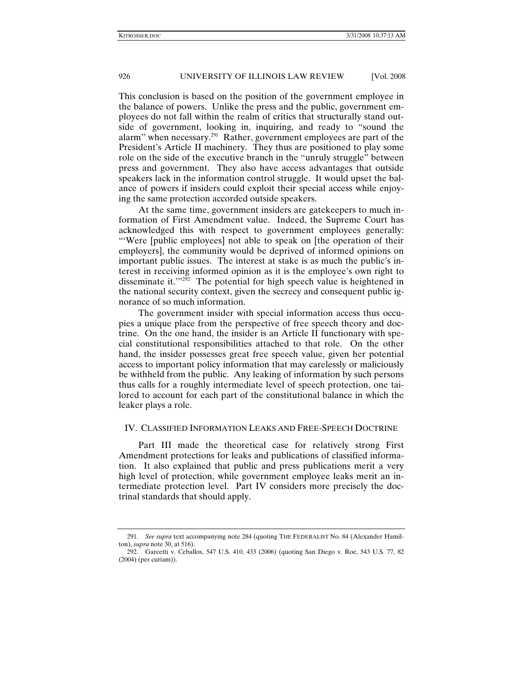This conclusion is based on the position of the government employee in the balance of powers. Unlike the press and the public, government employees do not fall within the realm of critics that structurally stand outside of government, looking in, inquiring, and ready to "sound the alarm" when necessary.291 Rather, government employees are part of the President's Article II machinery. They thus are positioned to play some role on the side of the executive branch in the "unruly struggle" between press and government. They also have access advantages that outside speakers lack in the information control struggle. It would upset the balance of powers if insiders could exploit their special access while enjoying the same protection accorded outside speakers.

At the same time, government insiders are gatekeepers to much information of First Amendment value. Indeed, the Supreme Court has acknowledged this with respect to government employees generally: "'Were [public employees] not able to speak on [the operation of their employers], the community would be deprived of informed opinions on important public issues. The interest at stake is as much the public's interest in receiving informed opinion as it is the employee's own right to disseminate it." $2^{52}$  The potential for high speech value is heightened in the national security context, given the secrecy and consequent public ignorance of so much information.

The government insider with special information access thus occupies a unique place from the perspective of free speech theory and doctrine. On the one hand, the insider is an Article II functionary with special constitutional responsibilities attached to that role. On the other hand, the insider possesses great free speech value, given her potential access to important policy information that may carelessly or maliciously be withheld from the public. Any leaking of information by such persons thus calls for a roughly intermediate level of speech protection, one tailored to account for each part of the constitutional balance in which the leaker plays a role.

# IV. CLASSIFIED INFORMATION LEAKS AND FREE-SPEECH DOCTRINE

Part III made the theoretical case for relatively strong First Amendment protections for leaks and publications of classified information. It also explained that public and press publications merit a very high level of protection, while government employee leaks merit an intermediate protection level. Part IV considers more precisely the doctrinal standards that should apply.

<sup>291</sup>*. See supra* text accompanying note 284 (quoting THE FEDERALIST No. 84 (Alexander Hamilton), *supra* note 30, at 516).

 <sup>292.</sup> Garcetti v. Ceballos, 547 U.S. 410, 433 (2006) (quoting San Diego v. Roe, 543 U.S. 77, 82 (2004) (per curiam)).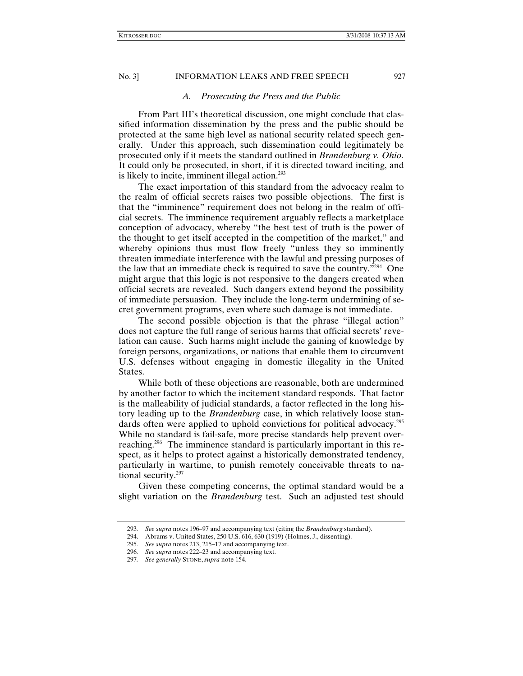#### *A. Prosecuting the Press and the Public*

From Part III's theoretical discussion, one might conclude that classified information dissemination by the press and the public should be protected at the same high level as national security related speech generally. Under this approach, such dissemination could legitimately be prosecuted only if it meets the standard outlined in *Brandenburg v. Ohio.*  It could only be prosecuted, in short, if it is directed toward inciting, and is likely to incite, imminent illegal action. $293$ 

The exact importation of this standard from the advocacy realm to the realm of official secrets raises two possible objections. The first is that the "imminence" requirement does not belong in the realm of official secrets. The imminence requirement arguably reflects a marketplace conception of advocacy, whereby "the best test of truth is the power of the thought to get itself accepted in the competition of the market," and whereby opinions thus must flow freely "unless they so imminently threaten immediate interference with the lawful and pressing purposes of the law that an immediate check is required to save the country."294 One might argue that this logic is not responsive to the dangers created when official secrets are revealed. Such dangers extend beyond the possibility of immediate persuasion. They include the long-term undermining of secret government programs, even where such damage is not immediate.

The second possible objection is that the phrase "illegal action" does not capture the full range of serious harms that official secrets' revelation can cause. Such harms might include the gaining of knowledge by foreign persons, organizations, or nations that enable them to circumvent U.S. defenses without engaging in domestic illegality in the United States.

While both of these objections are reasonable, both are undermined by another factor to which the incitement standard responds. That factor is the malleability of judicial standards, a factor reflected in the long history leading up to the *Brandenburg* case, in which relatively loose standards often were applied to uphold convictions for political advocacy.<sup>295</sup> While no standard is fail-safe, more precise standards help prevent overreaching.296 The imminence standard is particularly important in this respect, as it helps to protect against a historically demonstrated tendency, particularly in wartime, to punish remotely conceivable threats to national security.<sup>297</sup>

Given these competing concerns, the optimal standard would be a slight variation on the *Brandenburg* test. Such an adjusted test should

<sup>293</sup>*. See supra* notes 196–97 and accompanying text (citing the *Brandenburg* standard).

 <sup>294.</sup> Abrams v. United States, 250 U.S. 616, 630 (1919) (Holmes, J., dissenting).

<sup>295</sup>*. See supra* notes 213, 215–17 and accompanying text.

<sup>296</sup>*. See supra* notes 222–23 and accompanying text.

<sup>297</sup>*. See generally* STONE, *supra* note 154.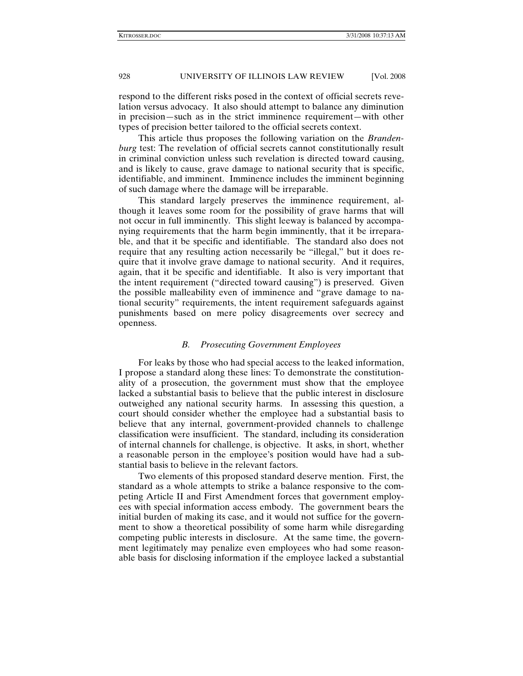respond to the different risks posed in the context of official secrets revelation versus advocacy. It also should attempt to balance any diminution in precision—such as in the strict imminence requirement—with other types of precision better tailored to the official secrets context.

This article thus proposes the following variation on the *Brandenburg* test: The revelation of official secrets cannot constitutionally result in criminal conviction unless such revelation is directed toward causing, and is likely to cause, grave damage to national security that is specific, identifiable, and imminent. Imminence includes the imminent beginning of such damage where the damage will be irreparable.

This standard largely preserves the imminence requirement, although it leaves some room for the possibility of grave harms that will not occur in full imminently. This slight leeway is balanced by accompanying requirements that the harm begin imminently, that it be irreparable, and that it be specific and identifiable. The standard also does not require that any resulting action necessarily be "illegal," but it does require that it involve grave damage to national security. And it requires, again, that it be specific and identifiable. It also is very important that the intent requirement ("directed toward causing") is preserved. Given the possible malleability even of imminence and "grave damage to national security" requirements, the intent requirement safeguards against punishments based on mere policy disagreements over secrecy and openness.

#### *B. Prosecuting Government Employees*

For leaks by those who had special access to the leaked information, I propose a standard along these lines: To demonstrate the constitutionality of a prosecution, the government must show that the employee lacked a substantial basis to believe that the public interest in disclosure outweighed any national security harms. In assessing this question, a court should consider whether the employee had a substantial basis to believe that any internal, government-provided channels to challenge classification were insufficient. The standard, including its consideration of internal channels for challenge, is objective. It asks, in short, whether a reasonable person in the employee's position would have had a substantial basis to believe in the relevant factors.

Two elements of this proposed standard deserve mention. First, the standard as a whole attempts to strike a balance responsive to the competing Article II and First Amendment forces that government employees with special information access embody. The government bears the initial burden of making its case, and it would not suffice for the government to show a theoretical possibility of some harm while disregarding competing public interests in disclosure. At the same time, the government legitimately may penalize even employees who had some reasonable basis for disclosing information if the employee lacked a substantial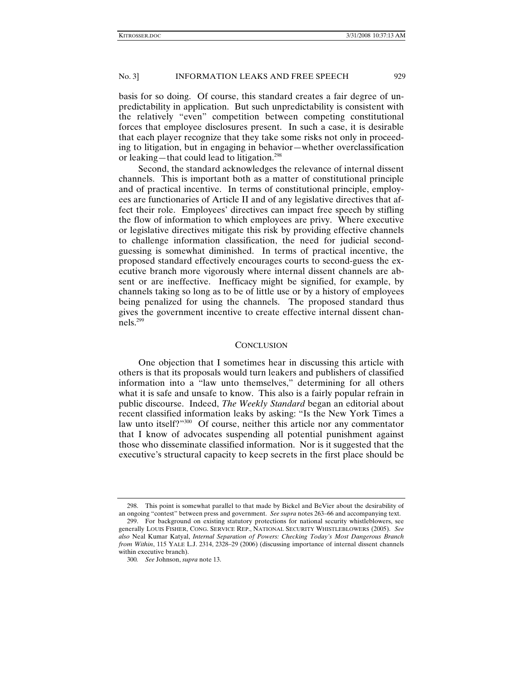basis for so doing. Of course, this standard creates a fair degree of unpredictability in application. But such unpredictability is consistent with the relatively "even" competition between competing constitutional forces that employee disclosures present. In such a case, it is desirable that each player recognize that they take some risks not only in proceeding to litigation, but in engaging in behavior—whether overclassification or leaking—that could lead to litigation.<sup>298</sup>

Second, the standard acknowledges the relevance of internal dissent channels. This is important both as a matter of constitutional principle and of practical incentive. In terms of constitutional principle, employees are functionaries of Article II and of any legislative directives that affect their role. Employees' directives can impact free speech by stifling the flow of information to which employees are privy. Where executive or legislative directives mitigate this risk by providing effective channels to challenge information classification, the need for judicial secondguessing is somewhat diminished. In terms of practical incentive, the proposed standard effectively encourages courts to second-guess the executive branch more vigorously where internal dissent channels are absent or are ineffective. Inefficacy might be signified, for example, by channels taking so long as to be of little use or by a history of employees being penalized for using the channels. The proposed standard thus gives the government incentive to create effective internal dissent channels.299

#### **CONCLUSION**

One objection that I sometimes hear in discussing this article with others is that its proposals would turn leakers and publishers of classified information into a "law unto themselves," determining for all others what it is safe and unsafe to know. This also is a fairly popular refrain in public discourse. Indeed, *The Weekly Standard* began an editorial about recent classified information leaks by asking: "Is the New York Times a law unto itself?"300 Of course, neither this article nor any commentator that I know of advocates suspending all potential punishment against those who disseminate classified information. Nor is it suggested that the executive's structural capacity to keep secrets in the first place should be

 <sup>298.</sup> This point is somewhat parallel to that made by Bickel and BeVier about the desirability of an ongoing "contest" between press and government. *See supra* notes 263–66 and accompanying text.

 <sup>299.</sup> For background on existing statutory protections for national security whistleblowers, see generally LOUIS FISHER, CONG. SERVICE REP., NATIONAL SECURITY WHISTLEBLOWERS (2005). *See also* Neal Kumar Katyal, *Internal Separation of Powers: Checking Today's Most Dangerous Branch from Within*, 115 YALE L.J. 2314, 2328–29 (2006) (discussing importance of internal dissent channels within executive branch).

<sup>300</sup>*. See* Johnson, *supra* note 13.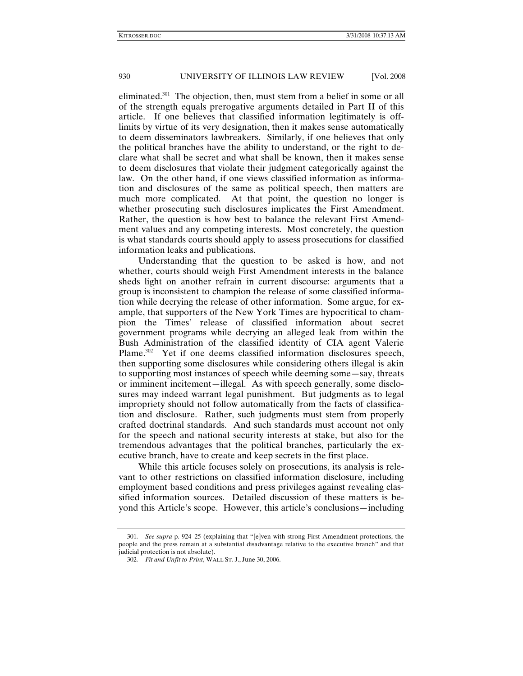eliminated.<sup>301</sup> The objection, then, must stem from a belief in some or all of the strength equals prerogative arguments detailed in Part II of this article. If one believes that classified information legitimately is offlimits by virtue of its very designation, then it makes sense automatically to deem disseminators lawbreakers. Similarly, if one believes that only the political branches have the ability to understand, or the right to declare what shall be secret and what shall be known, then it makes sense to deem disclosures that violate their judgment categorically against the law. On the other hand, if one views classified information as information and disclosures of the same as political speech, then matters are much more complicated. At that point, the question no longer is whether prosecuting such disclosures implicates the First Amendment. Rather, the question is how best to balance the relevant First Amendment values and any competing interests. Most concretely, the question is what standards courts should apply to assess prosecutions for classified information leaks and publications.

Understanding that the question to be asked is how, and not whether, courts should weigh First Amendment interests in the balance sheds light on another refrain in current discourse: arguments that a group is inconsistent to champion the release of some classified information while decrying the release of other information. Some argue, for example, that supporters of the New York Times are hypocritical to champion the Times' release of classified information about secret government programs while decrying an alleged leak from within the Bush Administration of the classified identity of CIA agent Valerie Plame.<sup>302</sup> Yet if one deems classified information disclosures speech, then supporting some disclosures while considering others illegal is akin to supporting most instances of speech while deeming some—say, threats or imminent incitement—illegal. As with speech generally, some disclosures may indeed warrant legal punishment. But judgments as to legal impropriety should not follow automatically from the facts of classification and disclosure. Rather, such judgments must stem from properly crafted doctrinal standards. And such standards must account not only for the speech and national security interests at stake, but also for the tremendous advantages that the political branches, particularly the executive branch, have to create and keep secrets in the first place.

While this article focuses solely on prosecutions, its analysis is relevant to other restrictions on classified information disclosure, including employment based conditions and press privileges against revealing classified information sources. Detailed discussion of these matters is beyond this Article's scope. However, this article's conclusions—including

<sup>301</sup>*. See supra* p. 924–25 (explaining that "[e]ven with strong First Amendment protections, the people and the press remain at a substantial disadvantage relative to the executive branch" and that judicial protection is not absolute).

<sup>302</sup>*. Fit and Unfit to Print*, WALL ST. J., June 30, 2006.